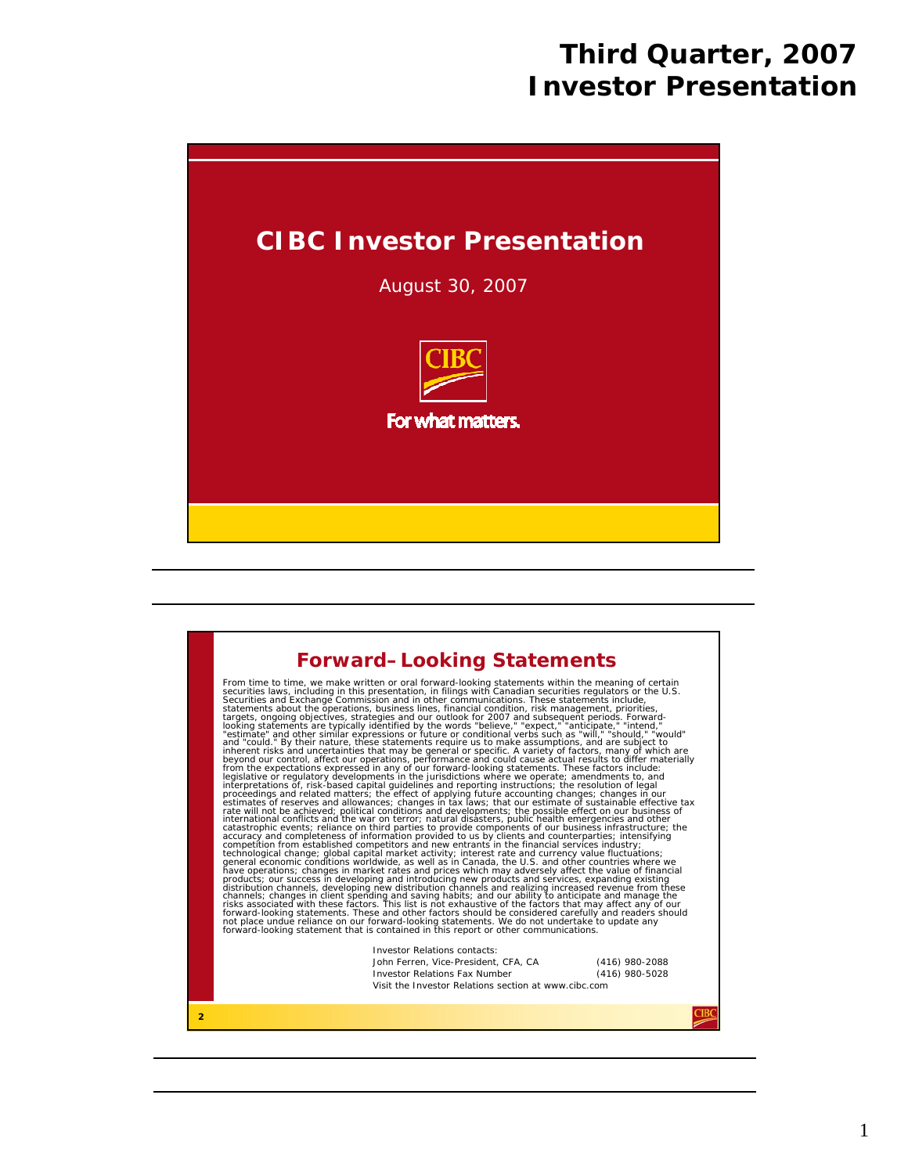

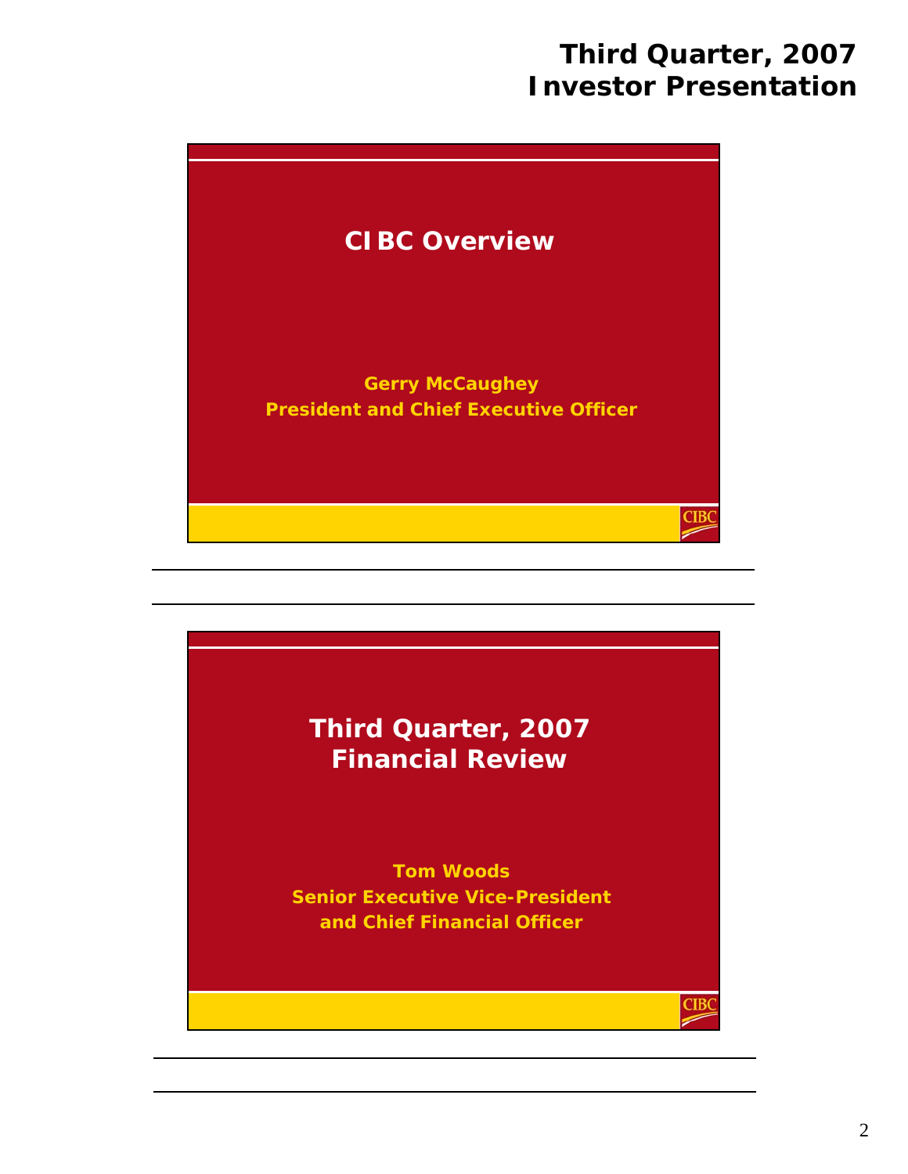

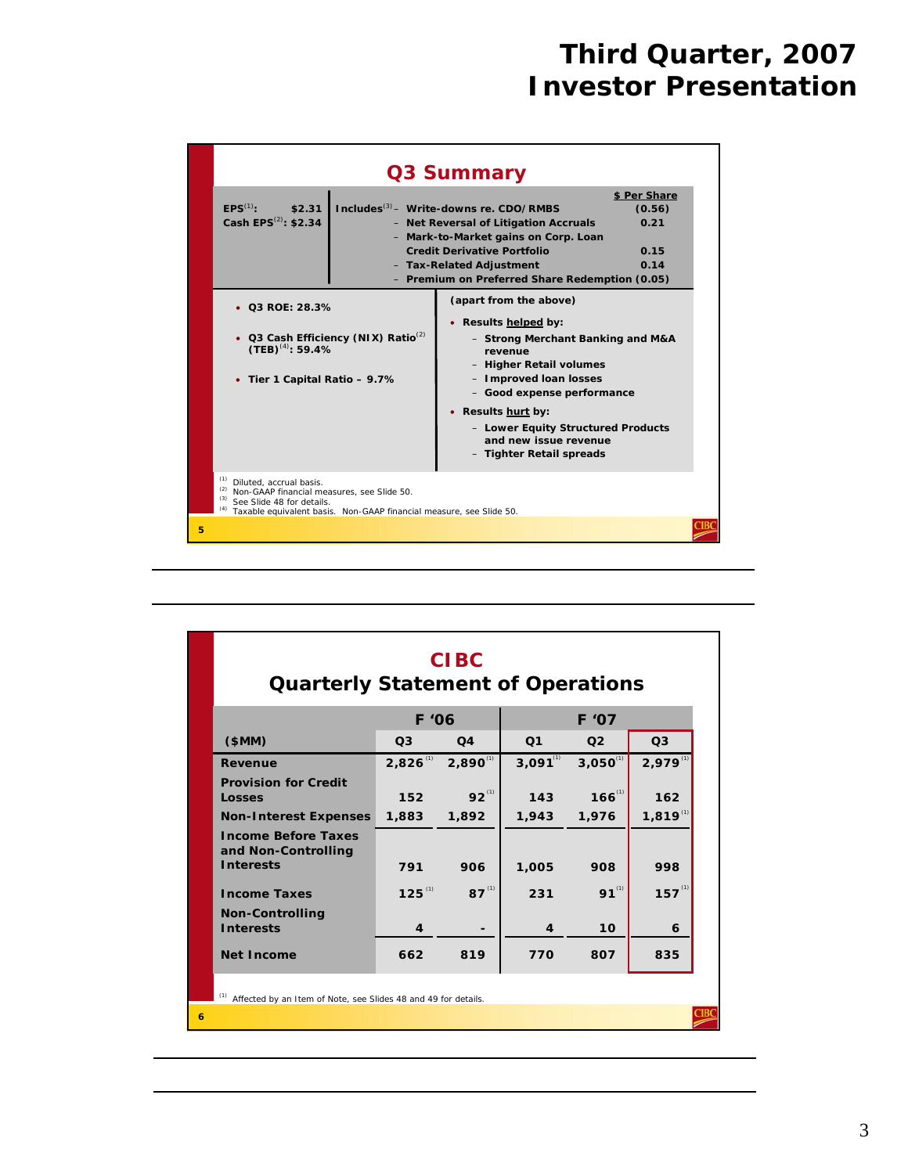|   |                                                                                                                                                                                                                            |                                           | Q3 Summary                                                                                                                                                                                                                                                                                                                                                                                                                                                                                                                        |                                                |  |  |  |  |  |
|---|----------------------------------------------------------------------------------------------------------------------------------------------------------------------------------------------------------------------------|-------------------------------------------|-----------------------------------------------------------------------------------------------------------------------------------------------------------------------------------------------------------------------------------------------------------------------------------------------------------------------------------------------------------------------------------------------------------------------------------------------------------------------------------------------------------------------------------|------------------------------------------------|--|--|--|--|--|
|   | $FPS^{(1)}$ :<br>\$2.31<br>Cash EPS <sup>(2)</sup> : \$2.34<br>• Q3 ROE: 28.3%<br>$(TEB)^{(4)}$ : 59.4%<br>• Tier 1 Capital Ratio - 9.7%                                                                                   | • Q3 Cash Efficiency (NIX) Ratio $^{(2)}$ | Includes <sup>(3)</sup> – Write-downs re. CDO/RMBS<br>- Net Reversal of Litigation Accruals<br>- Mark-to-Market gains on Corp. Loan<br><b>Credit Derivative Portfolio</b><br>- Tax-Related Adjustment<br>- Premium on Preferred Share Redemption (0.05)<br>(apart from the above)<br>• Results helped by:<br>- Strong Merchant Banking and M&A<br>revenue<br>- Higher Retail volumes<br>- Improved loan losses<br>- Good expense performance<br>• Results hurt by:<br>- Lower Equity Structured Products<br>and new issue revenue | \$ Per Share<br>(0.56)<br>0.21<br>0.15<br>0.14 |  |  |  |  |  |
|   | - Tighter Retail spreads<br>(1)<br>Diluted, accrual basis.<br>Non-GAAP financial measures, see Slide 50.<br>(3)<br>See Slide 48 for details.<br>(4)<br>Taxable equivalent basis. Non-GAAP financial measure, see Slide 50. |                                           |                                                                                                                                                                                                                                                                                                                                                                                                                                                                                                                                   |                                                |  |  |  |  |  |
| 5 |                                                                                                                                                                                                                            |                                           |                                                                                                                                                                                                                                                                                                                                                                                                                                                                                                                                   |                                                |  |  |  |  |  |

|   | <b>CIBC</b><br><b>Quarterly Statement of Operations</b>               |                        |                |               |               |               |  |  |  |  |  |
|---|-----------------------------------------------------------------------|------------------------|----------------|---------------|---------------|---------------|--|--|--|--|--|
|   |                                                                       | F '07<br>F '06         |                |               |               |               |  |  |  |  |  |
|   | \$MM)                                                                 | Q <sub>1</sub>         | Q <sub>3</sub> |               |               |               |  |  |  |  |  |
|   | Revenue                                                               | $2,826$ <sup>(1)</sup> | $2,890^{(1)}$  | $3,091^{(1)}$ | $3,050^{(1)}$ | $2,979^{(1)}$ |  |  |  |  |  |
|   | <b>Provision for Credit</b><br>Losses                                 | 152                    | $92^{^{(1)}}$  | 143           | $166^{(1)}$   | 162           |  |  |  |  |  |
|   | <b>Non-Interest Expenses</b>                                          | 1,883                  | 1,892          | 1,943         | 1,976         | $1,819^{(1)}$ |  |  |  |  |  |
|   | <b>Income Before Taxes</b><br>and Non-Controlling<br><b>Interests</b> | 791                    | 906            | 1,005         | 908           | 998           |  |  |  |  |  |
|   | <b>Income Taxes</b>                                                   | $125^{(1)}$            | $87^{^{(1)}}$  | 231           | $91^{(1)}$    | $157^{(1)}$   |  |  |  |  |  |
|   | <b>Non-Controlling</b><br><b>Interests</b>                            | 4                      |                | 4             | 10            | 6             |  |  |  |  |  |
|   | <b>Net Income</b>                                                     | 662                    | 819            | 770           | 807           | 835           |  |  |  |  |  |
| 6 | Affected by an Item of Note, see Slides 48 and 49 for details.        |                        |                |               |               |               |  |  |  |  |  |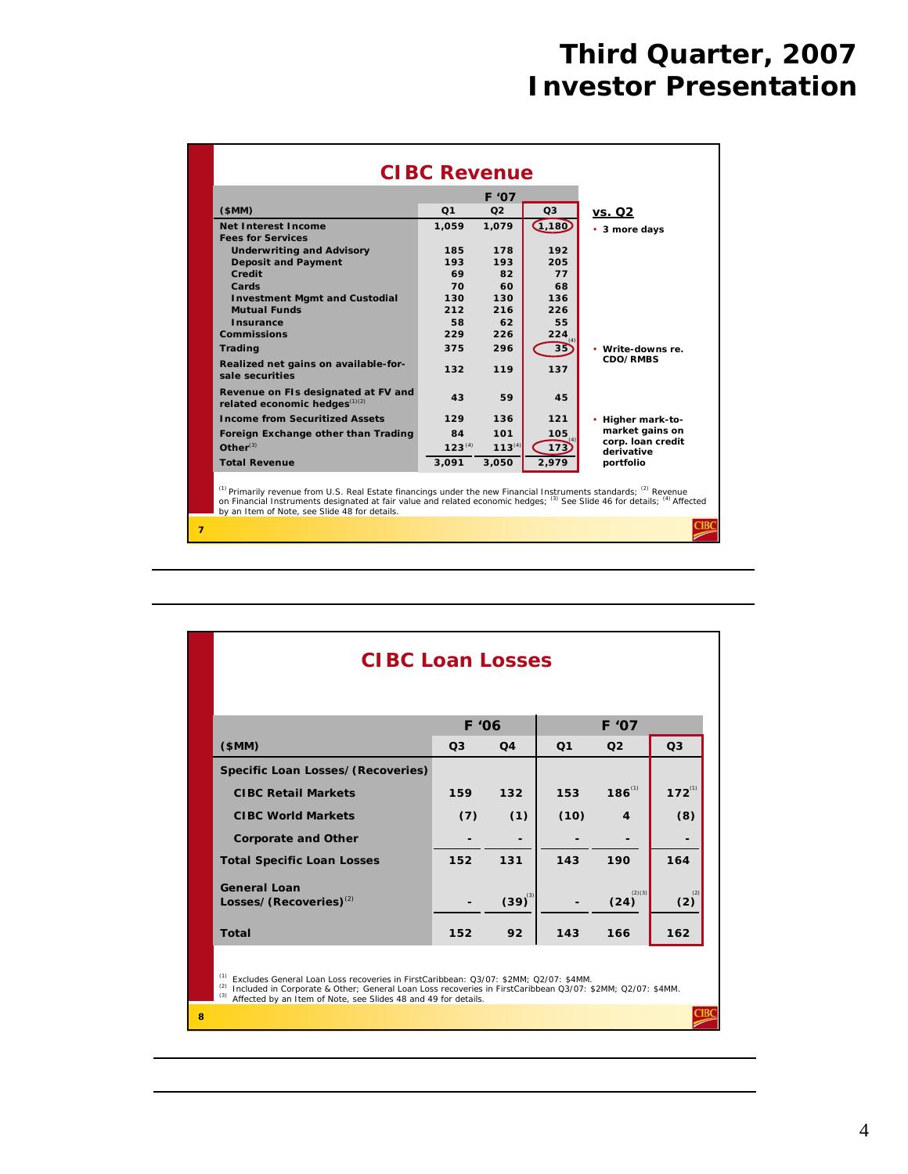| \$MM)                                                                | F '07          |                |          |                                 |  |  |  |  |  |  |
|----------------------------------------------------------------------|----------------|----------------|----------|---------------------------------|--|--|--|--|--|--|
|                                                                      | Q <sub>1</sub> | O <sub>2</sub> | Q3       | vs. Q2                          |  |  |  |  |  |  |
| Net Interest Income                                                  | 1,059          | 1,079          | (1, 180) | • 3 more days                   |  |  |  |  |  |  |
| <b>Fees for Services</b>                                             |                |                |          |                                 |  |  |  |  |  |  |
| <b>Underwriting and Advisory</b>                                     | 185            | 178            | 192      |                                 |  |  |  |  |  |  |
| <b>Deposit and Payment</b>                                           | 193            | 193            | 205      |                                 |  |  |  |  |  |  |
| Credit                                                               | 69             | 82             | 77       |                                 |  |  |  |  |  |  |
| Cards                                                                | 70             | 60             | 68       |                                 |  |  |  |  |  |  |
| <b>Investment Mgmt and Custodial</b>                                 | 130            | 130            | 136      |                                 |  |  |  |  |  |  |
| <b>Mutual Funds</b>                                                  | 212            | 216            | 226      |                                 |  |  |  |  |  |  |
| Insurance                                                            | 58             | 62             | 55       |                                 |  |  |  |  |  |  |
| <b>Commissions</b>                                                   | 229            | 226            | 224      |                                 |  |  |  |  |  |  |
| <b>Trading</b>                                                       | 375            | 296            | 35       | • Write-downs re.               |  |  |  |  |  |  |
| Realized net gains on available-for-<br>sale securities              | 132            | 119            | 137      | CDO/RMBS                        |  |  |  |  |  |  |
| Revenue on FIs designated at FV and<br>related economic hedges(1)(2) | 43             | 59             | 45       |                                 |  |  |  |  |  |  |
| <b>Income from Securitized Assets</b>                                | 129            | 136            | $121$    | ٠<br>Higher mark-to-            |  |  |  |  |  |  |
| Foreign Exchange other than Trading                                  | 84             | 101            | 105      | market gains on                 |  |  |  |  |  |  |
| $Other^{(3)}$                                                        | $123^{(4)}$    | $113^{(4)}$    | 173      | corp. Ioan credit<br>derivative |  |  |  |  |  |  |
| <b>Total Revenue</b>                                                 | 3.091          | 3,050          | 2,979    | portfolio                       |  |  |  |  |  |  |

|   | <b>CIBC Loan Losses</b>                                                                                                                                                                                                                                                                          |                |                 |                |                  |                |  |  |  |  |  |  |
|---|--------------------------------------------------------------------------------------------------------------------------------------------------------------------------------------------------------------------------------------------------------------------------------------------------|----------------|-----------------|----------------|------------------|----------------|--|--|--|--|--|--|
|   | F '07<br>F '06                                                                                                                                                                                                                                                                                   |                |                 |                |                  |                |  |  |  |  |  |  |
|   | (SMM)                                                                                                                                                                                                                                                                                            | Q <sub>3</sub> | Q <sub>4</sub>  | Q <sub>1</sub> | Q <sub>2</sub>   | Q <sub>3</sub> |  |  |  |  |  |  |
|   | Specific Loan Losses/(Recoveries)                                                                                                                                                                                                                                                                |                |                 |                |                  |                |  |  |  |  |  |  |
|   | <b>CIBC Retail Markets</b>                                                                                                                                                                                                                                                                       | 159            | 132             | 153            | $186^{(1)}$      | $172^{(1)}$    |  |  |  |  |  |  |
|   | <b>CIBC World Markets</b>                                                                                                                                                                                                                                                                        | (7)            | (1)             | (10)           | $\boldsymbol{4}$ | (8)            |  |  |  |  |  |  |
|   | <b>Corporate and Other</b>                                                                                                                                                                                                                                                                       |                |                 |                |                  |                |  |  |  |  |  |  |
|   | <b>Total Specific Loan Losses</b>                                                                                                                                                                                                                                                                | 152            | 131             | 143            | 190              | 164            |  |  |  |  |  |  |
|   | General Loan<br>Losses/(Recoveries) <sup>(2)</sup>                                                                                                                                                                                                                                               |                | $(39)^{^{(3)}}$ |                | (2)(3)<br>(24)   | (2)            |  |  |  |  |  |  |
|   | <b>Total</b>                                                                                                                                                                                                                                                                                     | 152            | 92              | 143            | 166              | 162            |  |  |  |  |  |  |
|   | <sup>(1)</sup> Excludes General Loan Loss recoveries in FirstCaribbean: Q3/07: \$2MM; Q2/07: \$4MM.<br>(2)<br>Included in Corporate & Other; General Loan Loss recoveries in FirstCaribbean Q3/07: \$2MM; Q2/07: \$4MM.<br>(3)<br>Affected by an Item of Note, see Slides 48 and 49 for details. |                |                 |                |                  |                |  |  |  |  |  |  |
| 8 |                                                                                                                                                                                                                                                                                                  |                |                 |                |                  |                |  |  |  |  |  |  |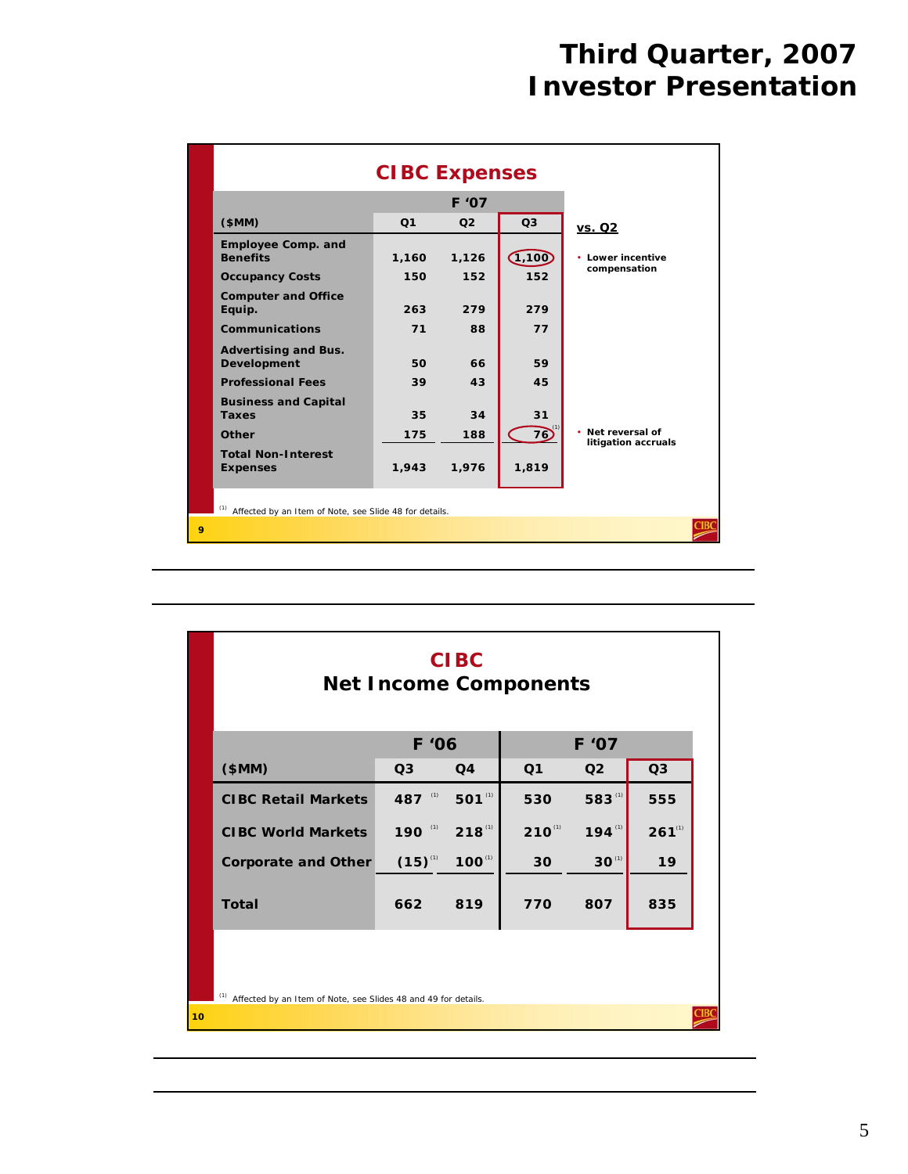|              | <b>CIBC Expenses</b>                                   |                |                |          |                                                     |  |  |  |  |  |  |
|--------------|--------------------------------------------------------|----------------|----------------|----------|-----------------------------------------------------|--|--|--|--|--|--|
|              |                                                        |                |                |          |                                                     |  |  |  |  |  |  |
|              | \$MM)                                                  | Q <sub>1</sub> | Q <sub>2</sub> | Q3       | <u>vs. Q2</u>                                       |  |  |  |  |  |  |
|              | <b>Employee Comp. and</b><br><b>Benefits</b>           | 1,160          | 1,126          | (1, 100) | Lower incentive<br>٠                                |  |  |  |  |  |  |
|              | <b>Occupancy Costs</b>                                 | 150            | 152            | 152      | compensation                                        |  |  |  |  |  |  |
|              | <b>Computer and Office</b><br>Equip.                   | 263            | 279            | 279      |                                                     |  |  |  |  |  |  |
|              | Communications                                         | 71             | 88             | 77       |                                                     |  |  |  |  |  |  |
|              | <b>Advertising and Bus.</b><br><b>Development</b>      | 50             | 66             | 59       |                                                     |  |  |  |  |  |  |
|              | <b>Professional Fees</b>                               | 39             | 43             | 45       |                                                     |  |  |  |  |  |  |
|              | <b>Business and Capital</b><br><b>Taxes</b>            | 35             | 34             | 31       |                                                     |  |  |  |  |  |  |
|              | Other                                                  | 175            | 188            | 76       | $\bullet$<br>Net reversal of<br>litigation accruals |  |  |  |  |  |  |
|              | <b>Total Non-Interest</b>                              | 1,943          | 1,976          | 1,819    |                                                     |  |  |  |  |  |  |
|              | <b>Expenses</b>                                        |                |                |          |                                                     |  |  |  |  |  |  |
|              | Affected by an Item of Note, see Slide 48 for details. |                |                |          |                                                     |  |  |  |  |  |  |
| $\mathbf{Q}$ |                                                        |                |                |          |                                                     |  |  |  |  |  |  |

|                                                                       | <b>CIBC</b><br><b>Net Income Components</b> |             |                |                |                |  |  |  |  |  |  |
|-----------------------------------------------------------------------|---------------------------------------------|-------------|----------------|----------------|----------------|--|--|--|--|--|--|
|                                                                       | F '06<br>F '07                              |             |                |                |                |  |  |  |  |  |  |
| \$MM)                                                                 | Q3                                          | Q4          | Q <sub>1</sub> | Q <sub>2</sub> | Q <sub>3</sub> |  |  |  |  |  |  |
| <b>CIBC Retail Markets</b>                                            | 487 $^{\circ}$                              | $501^{(1)}$ | 530            | 583(1)         | 555            |  |  |  |  |  |  |
| <b>CIBC World Markets</b>                                             | 190 (1) 218 (1)                             |             | $210^{(1)}$    | $194^{(1)}$    | $261^{(1)}$    |  |  |  |  |  |  |
| <b>Corporate and Other</b>                                            | $(15)^{^{(1)}}$                             | $100^{(1)}$ | 30             | $30^{(1)}$     | 19             |  |  |  |  |  |  |
| <b>Total</b>                                                          | 819<br>807<br>662<br>770                    |             |                |                |                |  |  |  |  |  |  |
|                                                                       |                                             |             |                |                |                |  |  |  |  |  |  |
| (1)<br>Affected by an Item of Note, see Slides 48 and 49 for details. |                                             |             |                |                |                |  |  |  |  |  |  |
| 10 <sup>10</sup>                                                      |                                             |             |                |                |                |  |  |  |  |  |  |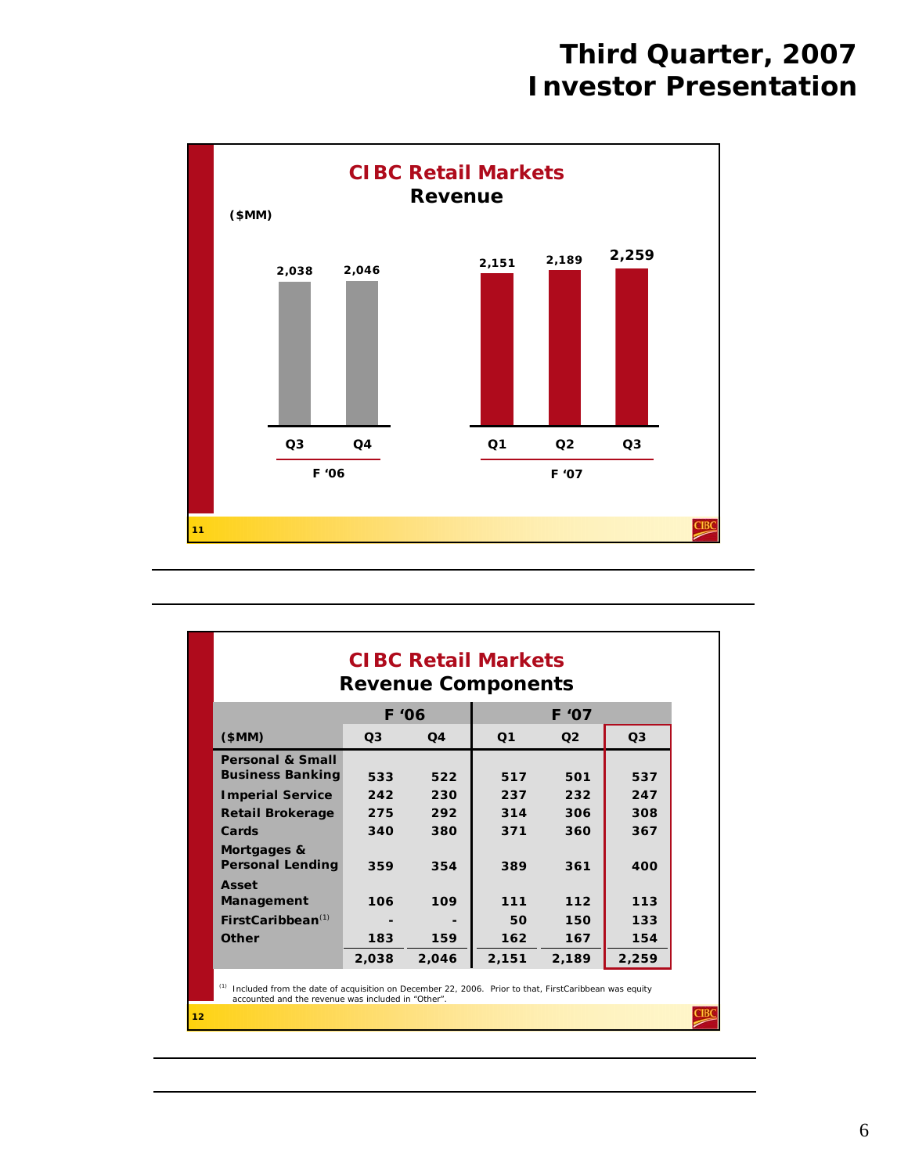

| <b>CIBC Retail Markets</b><br><b>Revenue Components</b>                                                     |                |                |                |                |                |  |  |  |  |  |
|-------------------------------------------------------------------------------------------------------------|----------------|----------------|----------------|----------------|----------------|--|--|--|--|--|
|                                                                                                             |                | F '06<br>F '07 |                |                |                |  |  |  |  |  |
| \$MM)                                                                                                       | Q <sub>3</sub> | Q <sub>4</sub> | Q <sub>1</sub> | O <sub>2</sub> | Q <sub>3</sub> |  |  |  |  |  |
| <b>Personal &amp; Small</b>                                                                                 |                |                |                |                |                |  |  |  |  |  |
| <b>Business Banking</b>                                                                                     | 533            | 522            | 517            | 501            | 537            |  |  |  |  |  |
| <b>Imperial Service</b>                                                                                     | 242            | 230            | 237            | 232            | 247            |  |  |  |  |  |
| <b>Retail Brokerage</b>                                                                                     | 275            | 292            | 314            | 306            | 308            |  |  |  |  |  |
| Cards                                                                                                       | 340            | 380            | 371            | 360            | 367            |  |  |  |  |  |
| Mortgages &<br><b>Personal Lending</b>                                                                      | 359            | 354            | 389            | 361            | 400            |  |  |  |  |  |
| Asset                                                                                                       |                |                |                |                |                |  |  |  |  |  |
| Management                                                                                                  | 106            | 109            | 111            | 112            | 113            |  |  |  |  |  |
| $FirstCaribbean^{(1)}$                                                                                      |                |                | 50             | 150            | 133            |  |  |  |  |  |
| Other                                                                                                       | 183            | 159            | 162            | 167            | 154            |  |  |  |  |  |
|                                                                                                             | 2,038          | 2.046          | 2,151          | 2,189          | 2,259          |  |  |  |  |  |
| (1)<br>Included from the date of acquisition on December 22, 2006. Prior to that, FirstCaribbean was equity |                |                |                |                |                |  |  |  |  |  |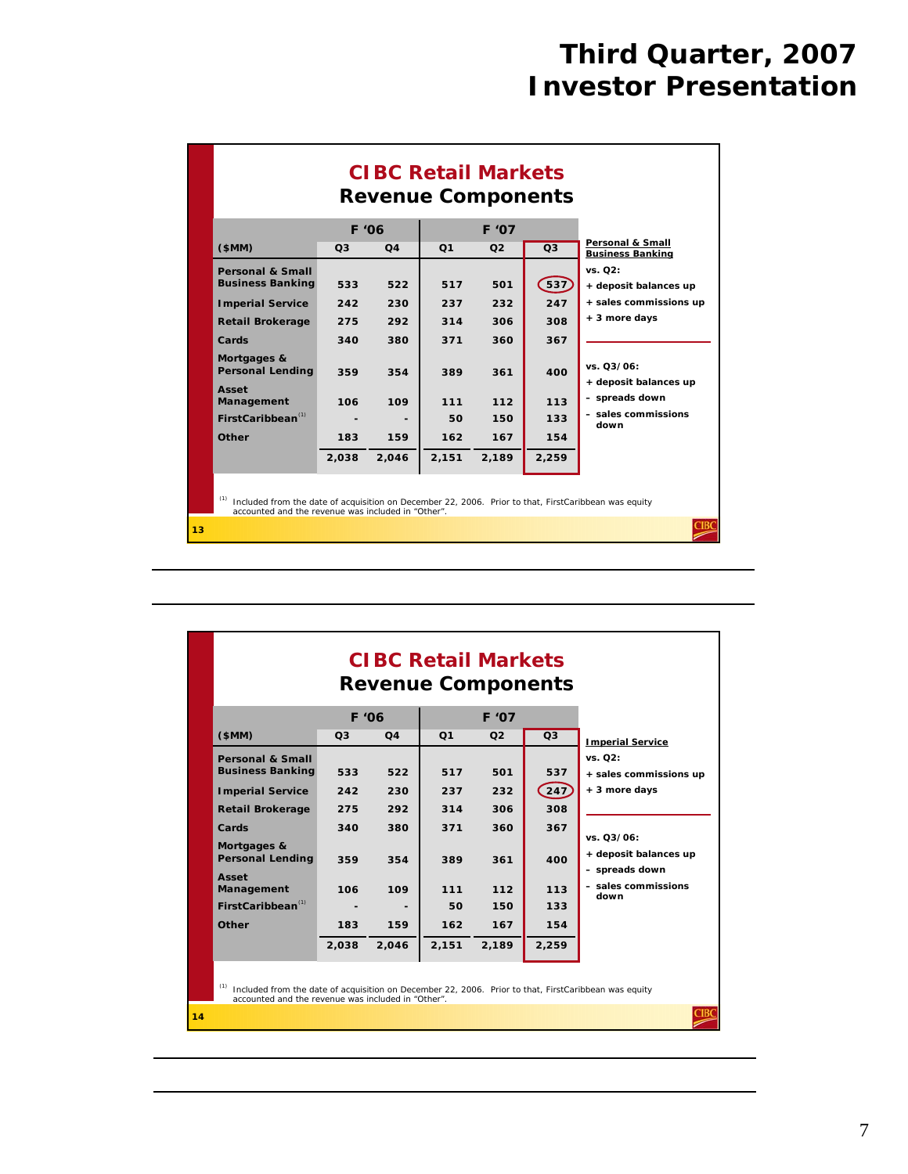|                                                                                                                       | <b>CIBC Retail Markets</b><br><b>Revenue Components</b>                                                                                                                                                 |                          |                          |                          |                          |                                                                                                        |  |  |  |  |  |
|-----------------------------------------------------------------------------------------------------------------------|---------------------------------------------------------------------------------------------------------------------------------------------------------------------------------------------------------|--------------------------|--------------------------|--------------------------|--------------------------|--------------------------------------------------------------------------------------------------------|--|--|--|--|--|
| (SMM)                                                                                                                 | O <sub>3</sub>                                                                                                                                                                                          | F '06<br>O <sub>4</sub>  | Q <sub>1</sub>           | F '07<br>Q <sub>2</sub>  | Q <sub>3</sub>           | Personal & Small                                                                                       |  |  |  |  |  |
| <b>Personal &amp; Small</b><br><b>Business Banking</b><br><b>Imperial Service</b><br><b>Retail Brokerage</b><br>Cards | 533<br>242<br>275<br>340                                                                                                                                                                                | 522<br>230<br>292<br>380 | 517<br>237<br>314<br>371 | 501<br>232<br>306<br>360 | 537<br>247<br>308<br>367 | <b>Business Banking</b><br>vs. Q2:<br>+ deposit balances up<br>+ sales commissions up<br>+ 3 more days |  |  |  |  |  |
| Mortgages &<br><b>Personal Lending</b><br>Asset<br>Management<br>$First Caribbean^{(1)}$<br>Other                     | 359<br>106<br>183                                                                                                                                                                                       | 354<br>109<br>159        | 389<br>111<br>50<br>162  | 361<br>112<br>150<br>167 | 400<br>113<br>133<br>154 | vs. 03/06:<br>+ deposit balances up<br>- spreads down<br>- sales commissions<br>down                   |  |  |  |  |  |
| (1)                                                                                                                   | 2,259<br>2.038<br>2,046<br>2,151<br>2,189<br>Included from the date of acquisition on December 22, 2006. Prior to that, FirstCaribbean was equity<br>accounted and the revenue was included in "Other". |                          |                          |                          |                          |                                                                                                        |  |  |  |  |  |
| 13                                                                                                                    |                                                                                                                                                                                                         |                          |                          |                          |                          |                                                                                                        |  |  |  |  |  |

|                                        | <b>CIBC Retail Markets</b><br><b>Revenue Components</b>                                                                                                    |                |                |                |                    |                                                       |  |  |  |  |
|----------------------------------------|------------------------------------------------------------------------------------------------------------------------------------------------------------|----------------|----------------|----------------|--------------------|-------------------------------------------------------|--|--|--|--|
|                                        | F '06<br>F '07                                                                                                                                             |                |                |                |                    |                                                       |  |  |  |  |
| \$MM)                                  | O <sub>3</sub>                                                                                                                                             | Q <sub>4</sub> | Q <sub>1</sub> | O <sub>2</sub> | Q <sub>3</sub>     | <b>Imperial Service</b>                               |  |  |  |  |
| <b>Personal &amp; Small</b>            |                                                                                                                                                            |                |                |                |                    | vs. 02:                                               |  |  |  |  |
| <b>Business Banking</b>                | 533                                                                                                                                                        | 522            | 517            | 501            | 537                | + sales commissions up                                |  |  |  |  |
| <b>Imperial Service</b>                | 242                                                                                                                                                        | 230            | 237            | 232            | $\left(247\right)$ | + 3 more days                                         |  |  |  |  |
| <b>Retail Brokerage</b>                | 275                                                                                                                                                        | 292            | 314            | 306            | 308                |                                                       |  |  |  |  |
| Cards                                  | 340                                                                                                                                                        | 380            | 371            | 360            | 367                |                                                       |  |  |  |  |
| Mortgages &<br><b>Personal Lending</b> | 359                                                                                                                                                        | 354            | 389            | 361            | 400                | vs. 03/06:<br>+ deposit balances up<br>- spreads down |  |  |  |  |
| Asset<br>Management                    | 106                                                                                                                                                        | 109            | 111            | 112            | 113                | - sales commissions<br>down                           |  |  |  |  |
| $FirstCaribbean^{(1)}$                 |                                                                                                                                                            |                | 50             | 150            | 133                |                                                       |  |  |  |  |
| Other                                  | 183                                                                                                                                                        | 159            | 162            | 167            | 154                |                                                       |  |  |  |  |
|                                        | 2,038                                                                                                                                                      | 2.046          | 2,151          | 2,189          | 2,259              |                                                       |  |  |  |  |
|                                        | Included from the date of acquisition on December 22, 2006. Prior to that, FirstCaribbean was equity<br>accounted and the revenue was included in "Other". |                |                |                |                    |                                                       |  |  |  |  |
| 14                                     |                                                                                                                                                            |                |                |                |                    |                                                       |  |  |  |  |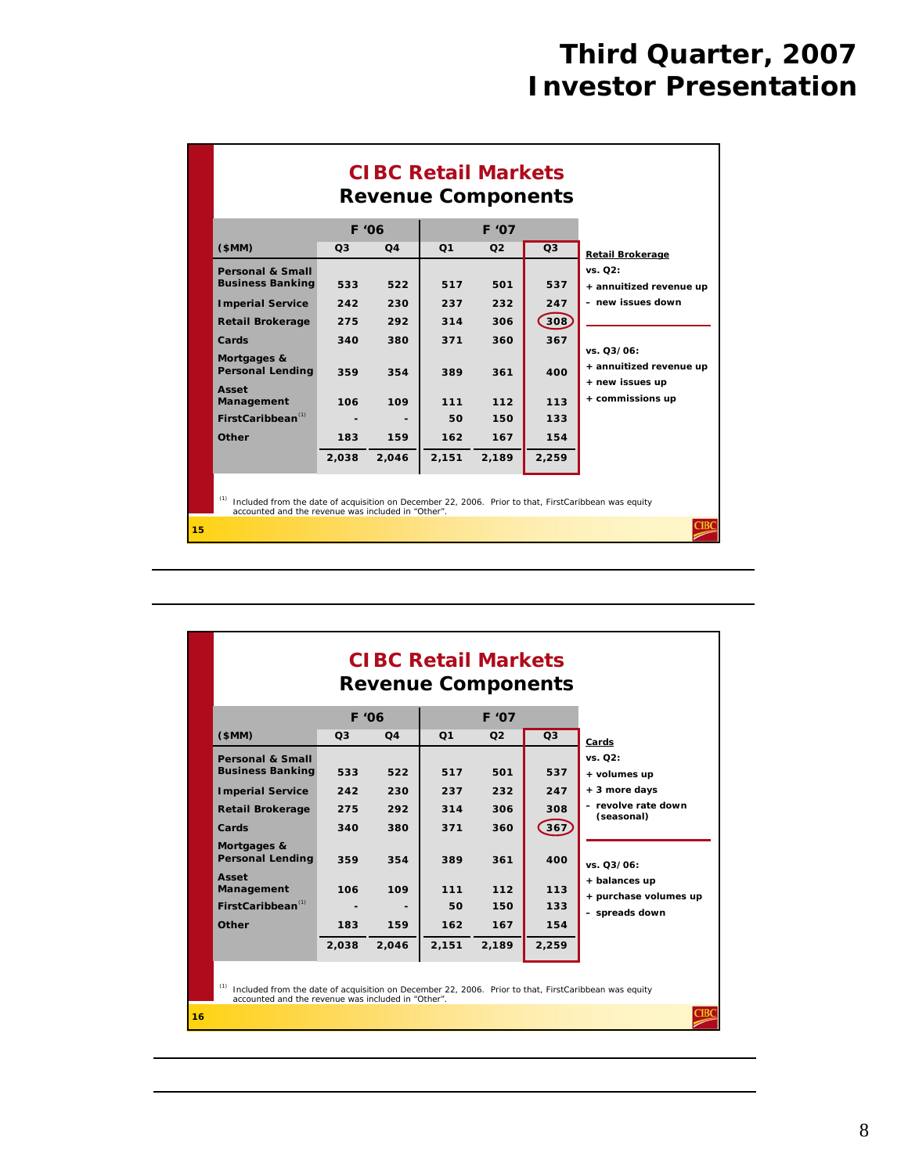|    | <b>CIBC Retail Markets</b><br><b>Revenue Components</b>                                                                                                                                                                    |                                                        |                                                        |                                                              |                                                               |                                                               |                                                                                                                                                                    |  |  |  |  |
|----|----------------------------------------------------------------------------------------------------------------------------------------------------------------------------------------------------------------------------|--------------------------------------------------------|--------------------------------------------------------|--------------------------------------------------------------|---------------------------------------------------------------|---------------------------------------------------------------|--------------------------------------------------------------------------------------------------------------------------------------------------------------------|--|--|--|--|
|    | (SMM)                                                                                                                                                                                                                      | F '06<br>Q <sub>3</sub>                                | Q4                                                     | Q <sub>1</sub>                                               | F '07<br>O <sub>2</sub>                                       | Q3                                                            |                                                                                                                                                                    |  |  |  |  |
|    | <b>Personal &amp; Small</b><br><b>Business Banking</b><br><b>Imperial Service</b><br><b>Retail Brokerage</b><br>Cards<br>Mortgages &<br><b>Personal Lending</b><br>Asset<br>Management<br>$First Caribbean^{(1)}$<br>Other | 533<br>242<br>275<br>340<br>359<br>106<br>183<br>2,038 | 522<br>230<br>292<br>380<br>354<br>109<br>159<br>2,046 | 517<br>237<br>314<br>371<br>389<br>111<br>50<br>162<br>2,151 | 501<br>232<br>306<br>360<br>361<br>112<br>150<br>167<br>2,189 | 537<br>247<br>308<br>367<br>400<br>113<br>133<br>154<br>2,259 | <b>Retail Brokerage</b><br>vs. 02:<br>+ annuitized revenue up<br>- new issues down<br>vs. 03/06:<br>+ annuitized revenue up<br>+ new issues up<br>+ commissions up |  |  |  |  |
| 15 | Included from the date of acquisition on December 22, 2006. Prior to that, FirstCaribbean was equity<br>accounted and the revenue was included in "Other".                                                                 |                                                        |                                                        |                                                              |                                                               |                                                               |                                                                                                                                                                    |  |  |  |  |

|    |                                                                                                                                                                                                                           |                                               |                                               | <b>CIBC Retail Markets</b><br><b>Revenue Components</b> |                                                      |                                                        |                                                                                                                                                         |  |  |  |
|----|---------------------------------------------------------------------------------------------------------------------------------------------------------------------------------------------------------------------------|-----------------------------------------------|-----------------------------------------------|---------------------------------------------------------|------------------------------------------------------|--------------------------------------------------------|---------------------------------------------------------------------------------------------------------------------------------------------------------|--|--|--|
|    |                                                                                                                                                                                                                           | <b>F</b> '06                                  |                                               |                                                         | F '07                                                |                                                        |                                                                                                                                                         |  |  |  |
|    | (SMM)                                                                                                                                                                                                                     | O <sub>3</sub>                                | Q4                                            | Q <sub>1</sub>                                          | O <sub>2</sub>                                       | O <sub>3</sub>                                         | Cards                                                                                                                                                   |  |  |  |
|    | <b>Personal &amp; Small</b><br><b>Business Banking</b><br><b>Imperial Service</b><br><b>Retail Brokerage</b><br>Cards<br>Mortgages &<br><b>Personal Lending</b><br>Asset<br>Management<br>$FirstCaribbean^{(1)}$<br>Other | 533<br>242<br>275<br>340<br>359<br>106<br>183 | 522<br>230<br>292<br>380<br>354<br>109<br>159 | 517<br>237<br>314<br>371<br>389<br>111<br>50<br>162     | 501<br>232<br>306<br>360<br>361<br>112<br>150<br>167 | 537<br>247<br>308<br>$367$<br>400<br>113<br>133<br>154 | vs. 02:<br>+ volumes up<br>+ 3 more days<br>- revolve rate down<br>(seasonal)<br>vs. 03/06:<br>+ balances up<br>+ purchase volumes up<br>- spreads down |  |  |  |
|    |                                                                                                                                                                                                                           | 2,038                                         | 2,046                                         | 2,151                                                   | 2,189                                                | 2,259                                                  |                                                                                                                                                         |  |  |  |
| 16 | Included from the date of acquisition on December 22, 2006. Prior to that, FirstCaribbean was equity<br>accounted and the revenue was included in "Other".                                                                |                                               |                                               |                                                         |                                                      |                                                        |                                                                                                                                                         |  |  |  |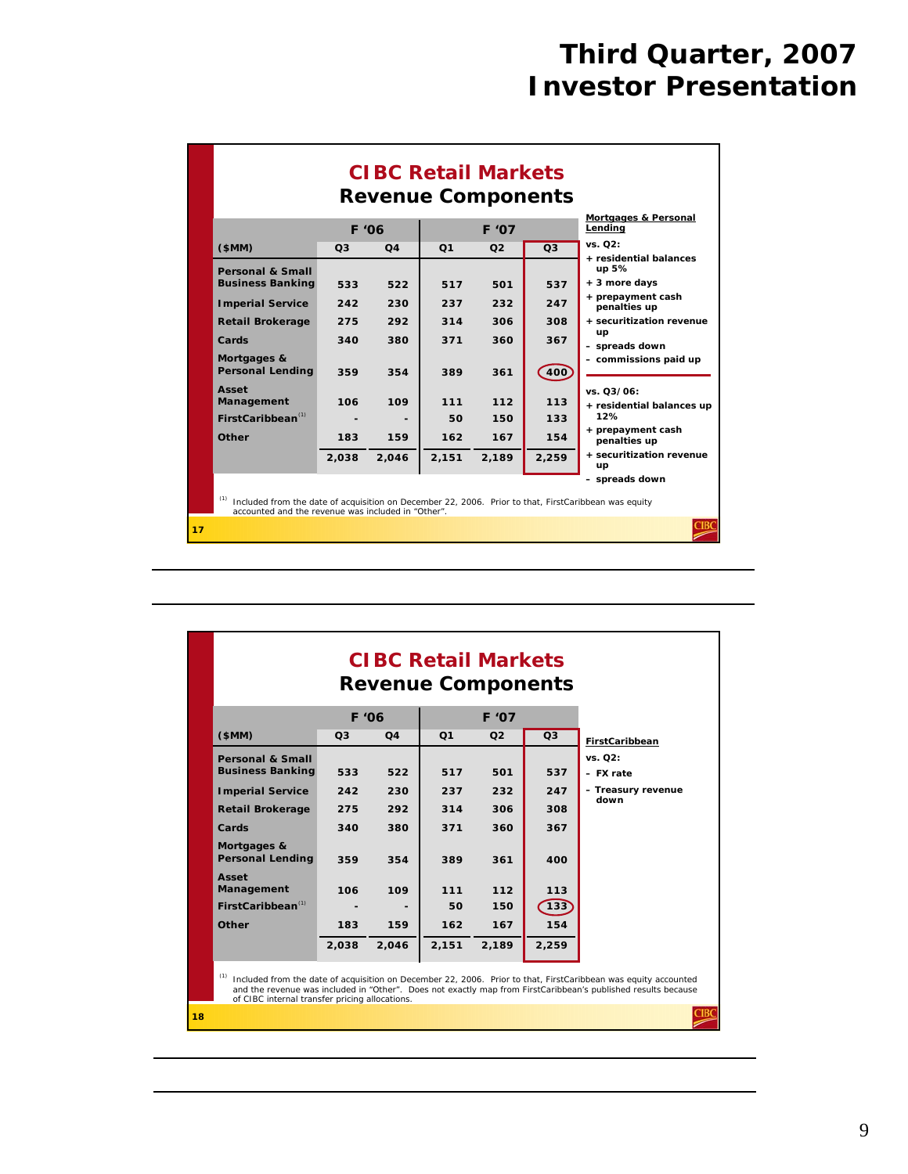|                                                                                                                                                            |                | <b>CIBC Retail Markets</b><br><b>Revenue Components</b> |                |                |                |                                         |
|------------------------------------------------------------------------------------------------------------------------------------------------------------|----------------|---------------------------------------------------------|----------------|----------------|----------------|-----------------------------------------|
|                                                                                                                                                            |                | F '06                                                   |                | F '07          |                | Mortgages & Personal<br>Lendina         |
| \$MM)                                                                                                                                                      | O <sub>3</sub> | O <sub>4</sub>                                          | O <sub>1</sub> | O <sub>2</sub> | Q <sub>3</sub> | vs. Q2:<br>+ residential balances       |
| <b>Personal &amp; Small</b>                                                                                                                                |                |                                                         |                |                |                | up 5%                                   |
| <b>Business Banking</b>                                                                                                                                    | 533            | 522                                                     | 517            | 501            | 537            | + 3 more days                           |
| <b>Imperial Service</b>                                                                                                                                    | 242            | 230                                                     | 237            | 232            | 247            | + prepayment cash<br>penalties up       |
| <b>Retail Brokerage</b>                                                                                                                                    | 275            | 292                                                     | 314            | 306            | 308            | + securitization revenue                |
| Cards                                                                                                                                                      | 340            | 380                                                     | 371            | 360            | 367            | up<br>- spreads down                    |
| Mortgages &<br><b>Personal Lending</b>                                                                                                                     | 359            | 354                                                     | 389            | 361            | 400            | - commissions paid up                   |
| Asset<br>Management                                                                                                                                        | 106            | 109                                                     | 111            | 112            | 113            | vs. 03/06:<br>+ residential balances up |
| First Caribbean <sup>(1)</sup>                                                                                                                             |                |                                                         | 50             | 150            | 133            | 12%                                     |
| Other                                                                                                                                                      | 183            | 159                                                     | 162            | 167            | 154            | + prepayment cash<br>penalties up       |
|                                                                                                                                                            | 2.038          | 2.046                                                   | 2,151          | 2,189          | 2,259          | + securitization revenue<br>up          |
|                                                                                                                                                            |                |                                                         |                |                |                | - spreads down                          |
| Included from the date of acquisition on December 22, 2006. Prior to that, FirstCaribbean was equity<br>accounted and the revenue was included in "Other". |                |                                                         |                |                |                |                                         |
| 17                                                                                                                                                         |                |                                                         |                |                |                |                                         |

|    |                                                |                |                | <b>CIBC Retail Markets</b><br><b>Revenue Components</b> |                |       |                                                                                                                                                                                                                                 |
|----|------------------------------------------------|----------------|----------------|---------------------------------------------------------|----------------|-------|---------------------------------------------------------------------------------------------------------------------------------------------------------------------------------------------------------------------------------|
|    |                                                | F '06          |                |                                                         | F '07          |       |                                                                                                                                                                                                                                 |
|    | (SMM)                                          | Q <sub>3</sub> | O <sub>4</sub> | Q <sub>1</sub>                                          | O <sub>2</sub> | Q3    | FirstCaribbean                                                                                                                                                                                                                  |
|    | <b>Personal &amp; Small</b>                    |                |                |                                                         |                |       | vs. 02:                                                                                                                                                                                                                         |
|    | <b>Business Banking</b>                        | 533            | 522            | 517                                                     | 501            | 537   | - FX rate                                                                                                                                                                                                                       |
|    | <b>Imperial Service</b>                        | 242            | 230            | 237                                                     | 232            | 247   | - Treasury revenue<br>down                                                                                                                                                                                                      |
|    | <b>Retail Brokerage</b>                        | 275            | 292            | 314                                                     | 306            | 308   |                                                                                                                                                                                                                                 |
|    | Cards                                          | 340            | 380            | 371                                                     | 360            | 367   |                                                                                                                                                                                                                                 |
|    | Mortgages &<br><b>Personal Lending</b>         | 359            | 354            | 389                                                     | 361            | 400   |                                                                                                                                                                                                                                 |
|    | Asset<br>Management                            | 106            | 109            | 111                                                     | 112            | 113   |                                                                                                                                                                                                                                 |
|    | $FirstCaribbean^{(1)}$                         |                |                | 50                                                      | 150            | 133   |                                                                                                                                                                                                                                 |
|    | Other                                          | 183            | 159            | 162                                                     | 167            | 154   |                                                                                                                                                                                                                                 |
|    |                                                | 2,038          | 2,046          | 2,151                                                   | 2,189          | 2,259 |                                                                                                                                                                                                                                 |
|    | of CIBC internal transfer pricing allocations. |                |                |                                                         |                |       | Included from the date of acquisition on December 22, 2006. Prior to that, FirstCaribbean was equity accounted<br>and the revenue was included in "Other". Does not exactly map from FirstCaribbean's published results because |
| 18 |                                                |                |                |                                                         |                |       |                                                                                                                                                                                                                                 |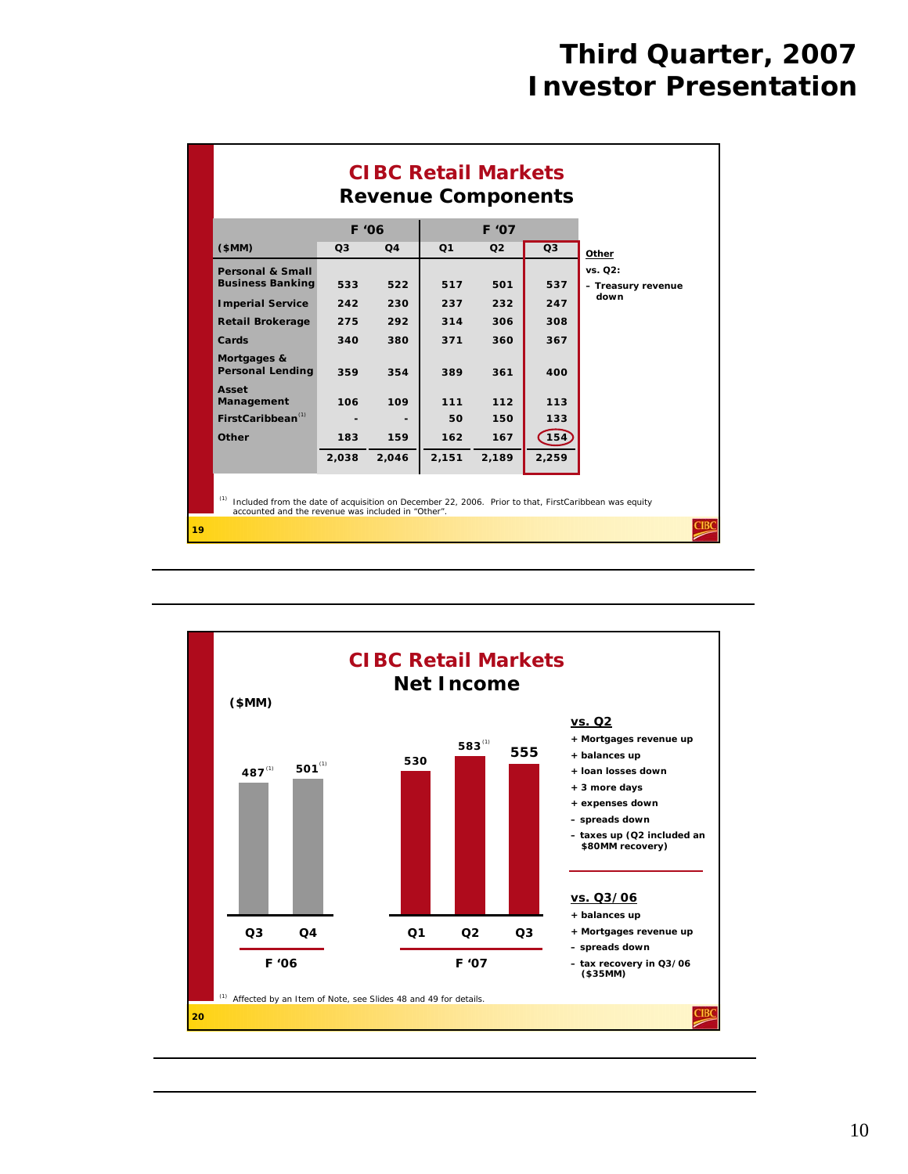|                                                                                                                                                                   | F '06          |                |                | F '07          | <b>Revenue Components</b> |                               |
|-------------------------------------------------------------------------------------------------------------------------------------------------------------------|----------------|----------------|----------------|----------------|---------------------------|-------------------------------|
| (SMM)                                                                                                                                                             | O <sub>3</sub> | Q <sub>4</sub> | Q <sub>1</sub> | O <sub>2</sub> | Q3                        | Other                         |
| <b>Personal &amp; Small</b><br><b>Business Banking</b>                                                                                                            | 533            | 522            | 517            | 501            | 537                       | vs. Q2:<br>- Treasury revenue |
| <b>Imperial Service</b>                                                                                                                                           | 242            | 230            | 237            | 232            | 247                       | down                          |
| <b>Retail Brokerage</b>                                                                                                                                           | 275            | 292            | 314            | 306            | 308                       |                               |
| Cards                                                                                                                                                             | 340            | 380            | 371            | 360            | 367                       |                               |
| Mortgages &<br><b>Personal Lending</b>                                                                                                                            | 359            | 354            | 389            | 361            | 400                       |                               |
| Asset<br>Management                                                                                                                                               | 106            | 109            | 111            | 112            | 113                       |                               |
| $FirstCaribbean^{(1)}$                                                                                                                                            |                |                | 50             | 150            | 133                       |                               |
| Other                                                                                                                                                             | 183            | 159            | 162            | 167            | 154                       |                               |
|                                                                                                                                                                   | 2,038          | 2,046          | 2,151          | 2,189          | 2,259                     |                               |
| (1)<br>Included from the date of acquisition on December 22, 2006. Prior to that, FirstCaribbean was equity<br>accounted and the revenue was included in "Other". |                |                |                |                |                           |                               |

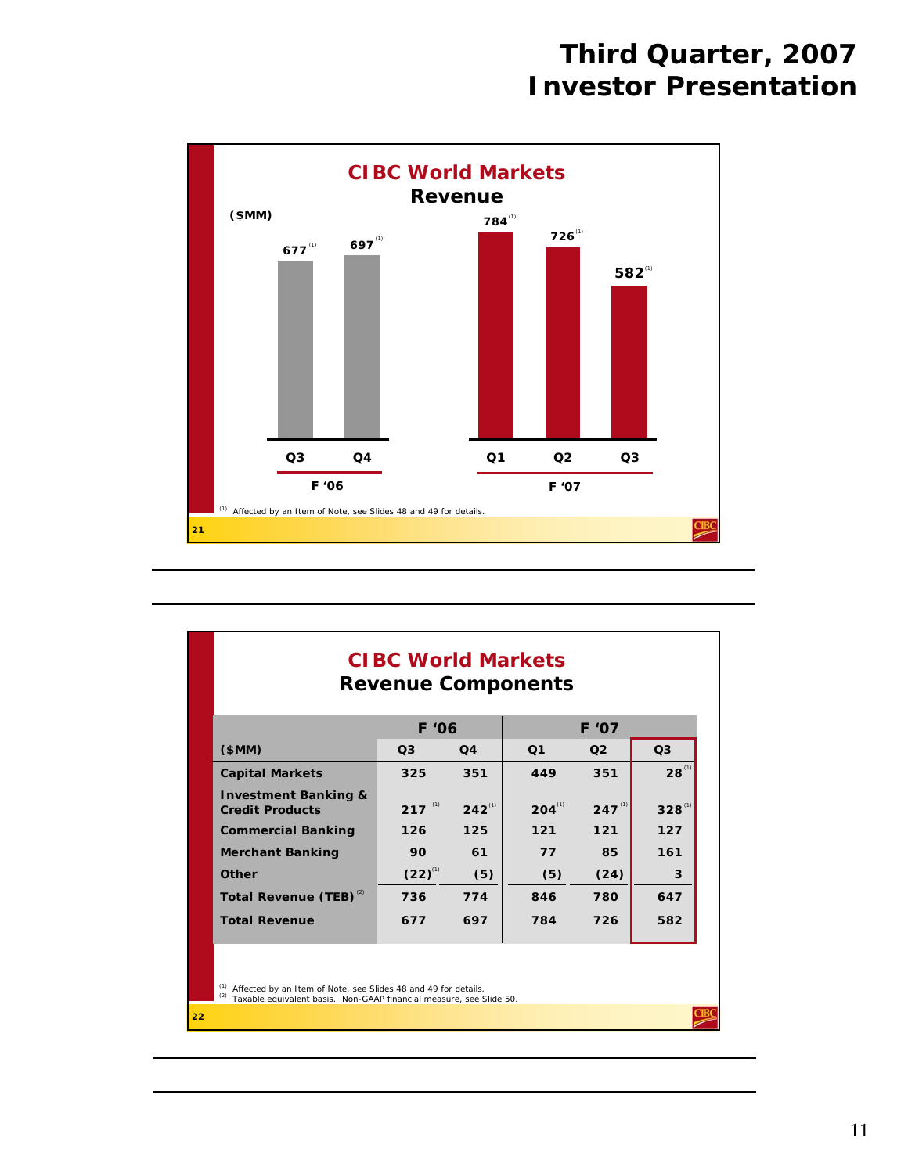

|                                                                                                                                                      | <b>CIBC World Markets</b><br><b>Revenue Components</b> |             |                |             |                |  |  |
|------------------------------------------------------------------------------------------------------------------------------------------------------|--------------------------------------------------------|-------------|----------------|-------------|----------------|--|--|
|                                                                                                                                                      | F '06                                                  |             | F '07          |             |                |  |  |
| \$MM)                                                                                                                                                | Q <sub>3</sub>                                         | Q4          | Q <sub>1</sub> | Q2          | Q <sub>3</sub> |  |  |
| <b>Capital Markets</b>                                                                                                                               | 325                                                    | 351         | 449            | 351         | $28^{(1)}$     |  |  |
| <b>Investment Banking &amp;</b><br><b>Credit Products</b>                                                                                            | $217$ <sup>(1)</sup>                                   | $242^{(1)}$ | $204^{(1)}$    | $247^{(1)}$ | $328^{(1)}$    |  |  |
| <b>Commercial Banking</b>                                                                                                                            | 126                                                    | 125         | $121$          | $121$       | 127            |  |  |
| <b>Merchant Banking</b>                                                                                                                              | 90                                                     | 61          | 77             | 85          | 161            |  |  |
| Other                                                                                                                                                | $(22)^{^{(1)}}$                                        | (5)         | (5)            | (24)        | 3              |  |  |
| Total Revenue (TEB) <sup>(2)</sup>                                                                                                                   | 736                                                    | 774         | 846            | 780         | 647            |  |  |
| <b>Total Revenue</b>                                                                                                                                 | 677                                                    | 697         | 784            | 726         | 582            |  |  |
| Affected by an Item of Note, see Slides 48 and 49 for details.<br><sup>(2)</sup> Taxable equivalent basis. Non-GAAP financial measure, see Slide 50. |                                                        |             |                |             |                |  |  |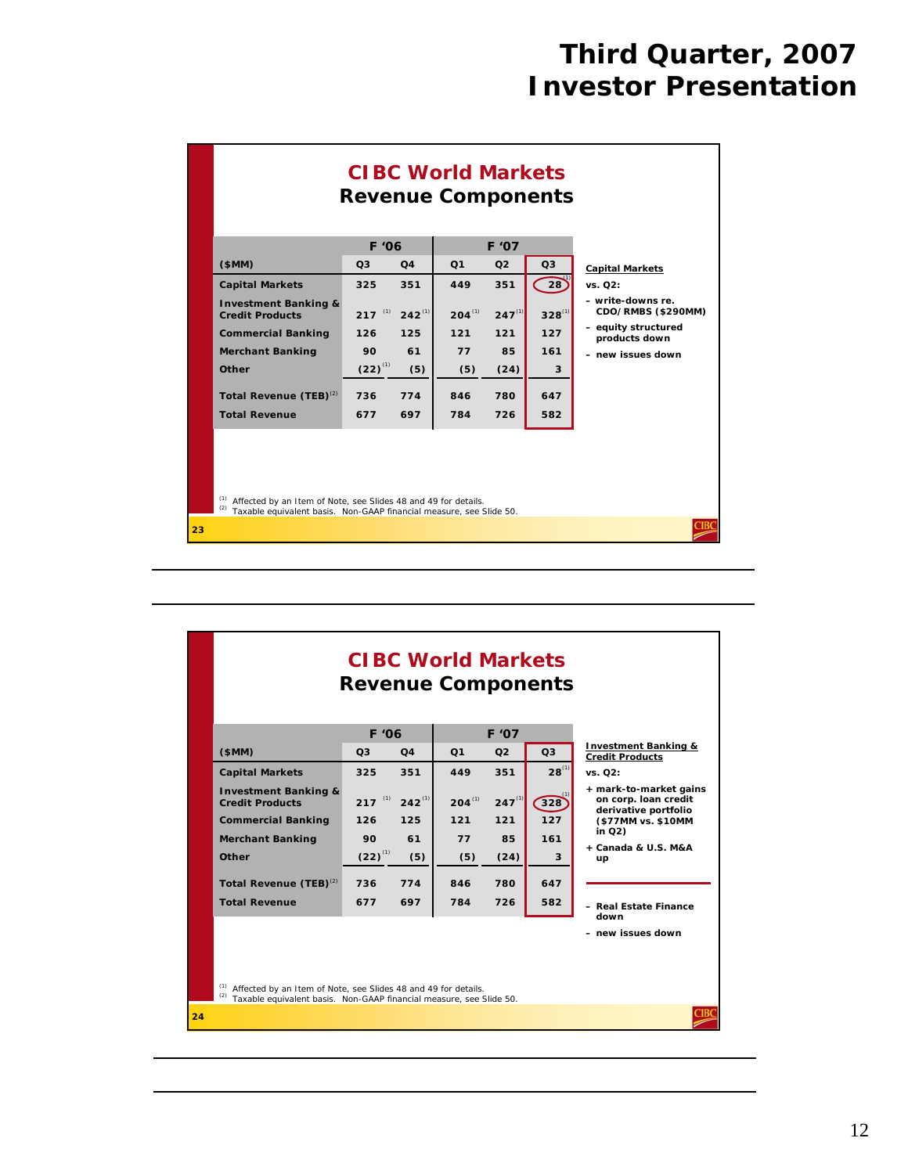

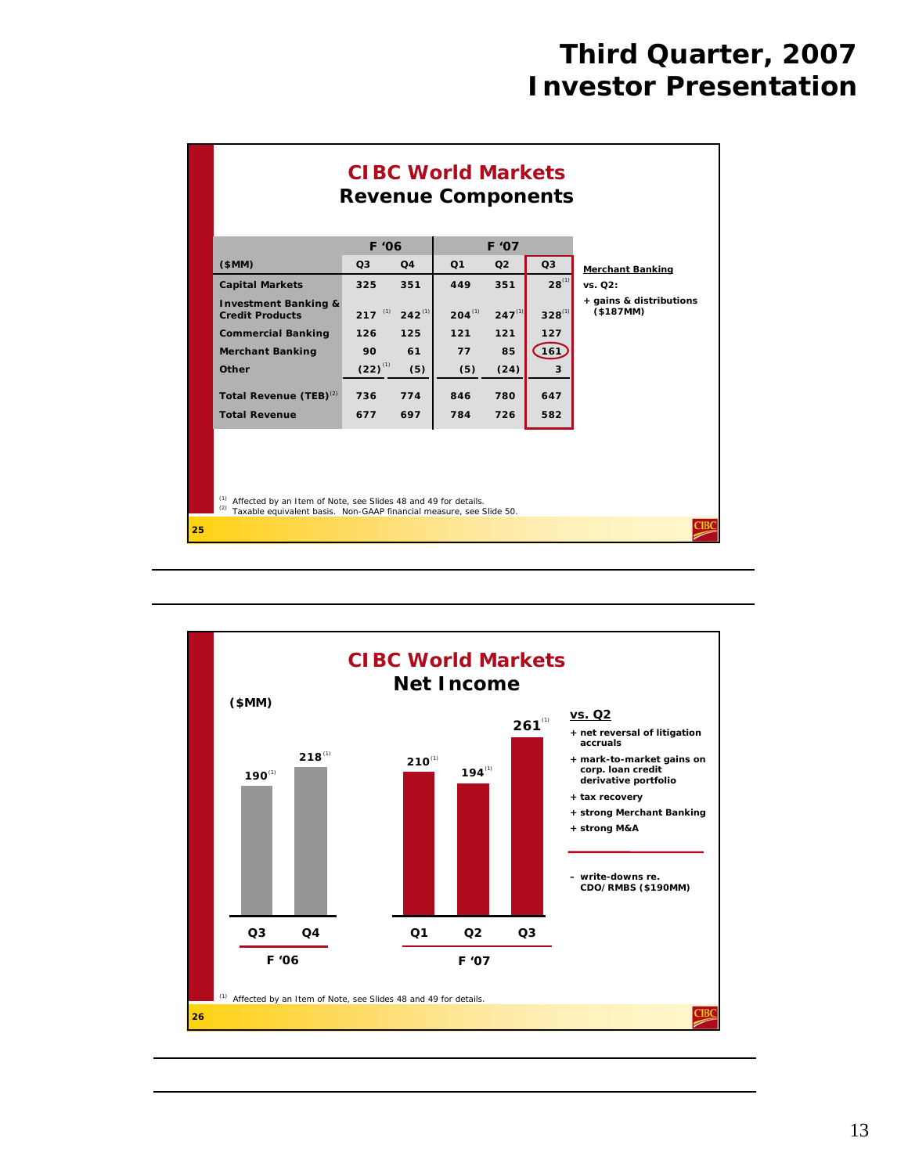

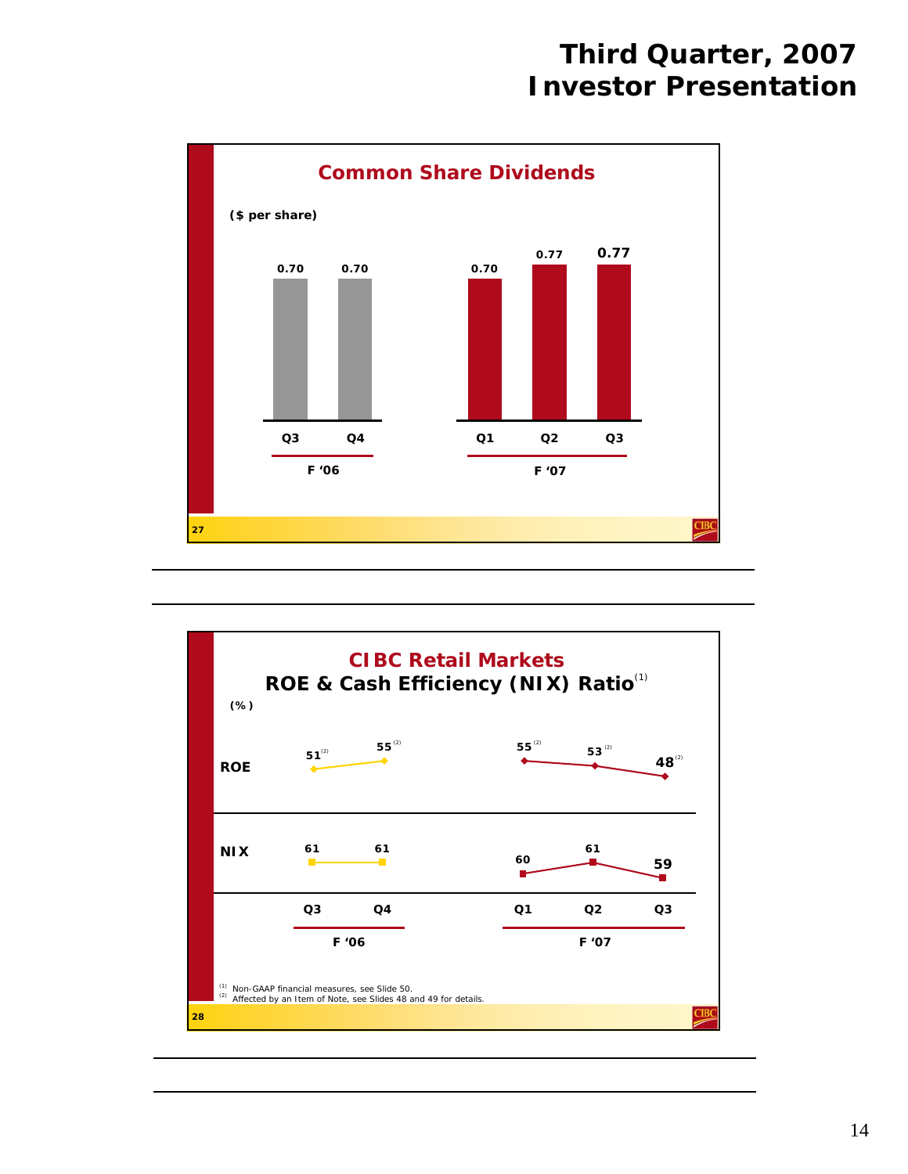

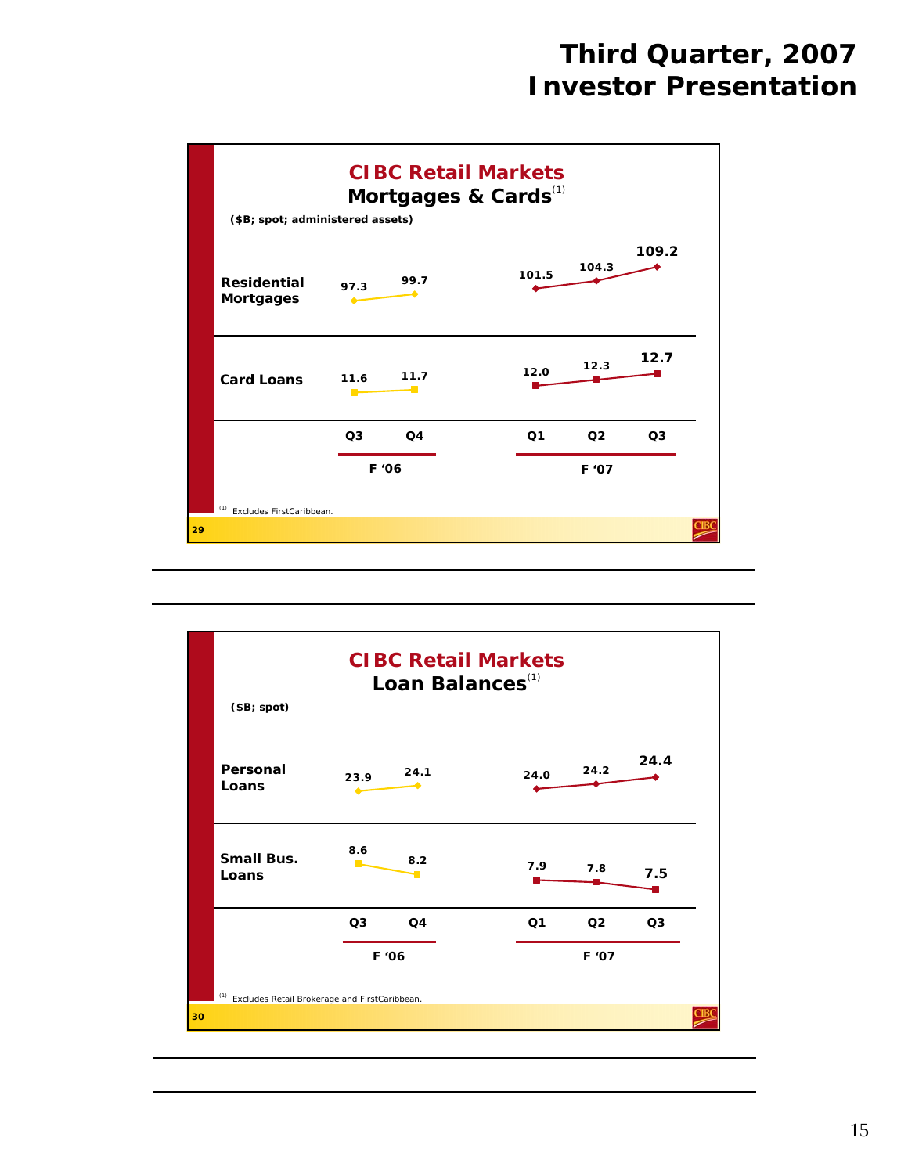

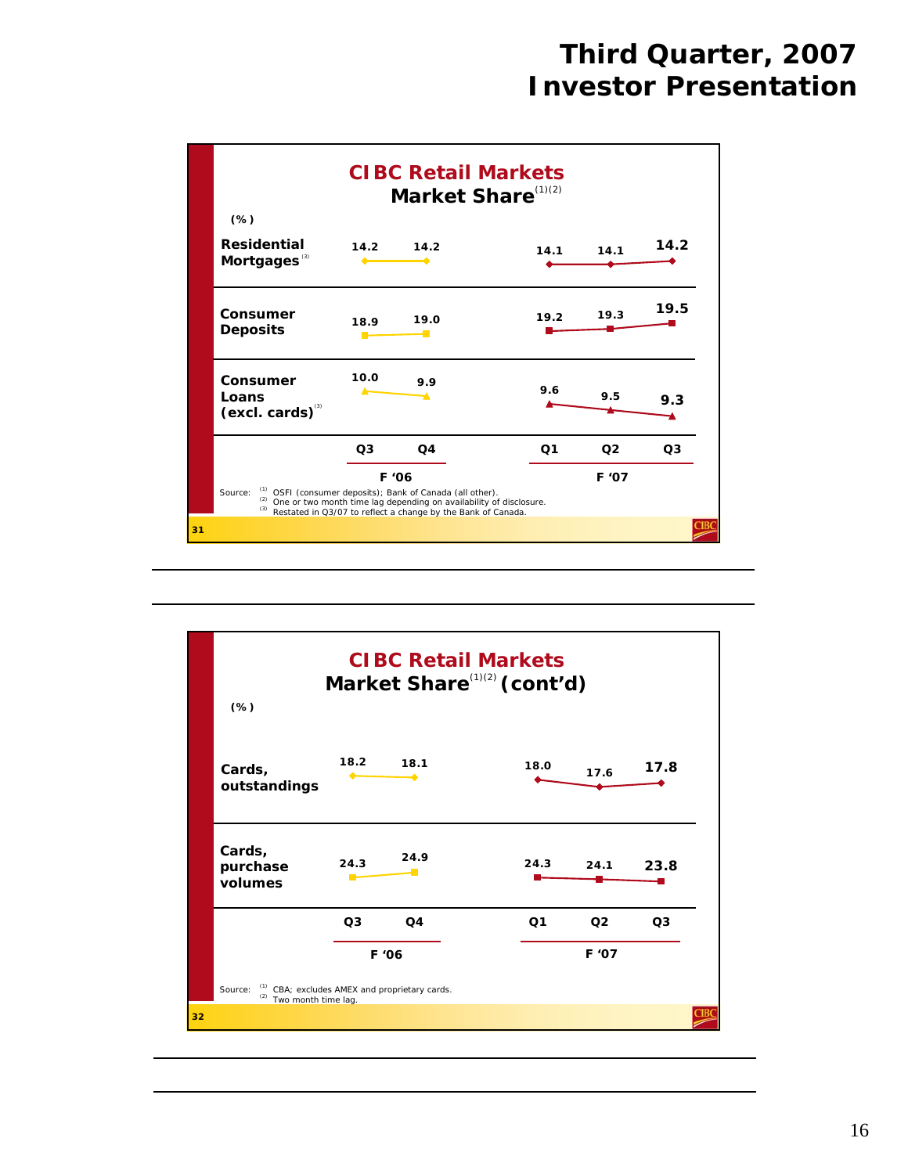

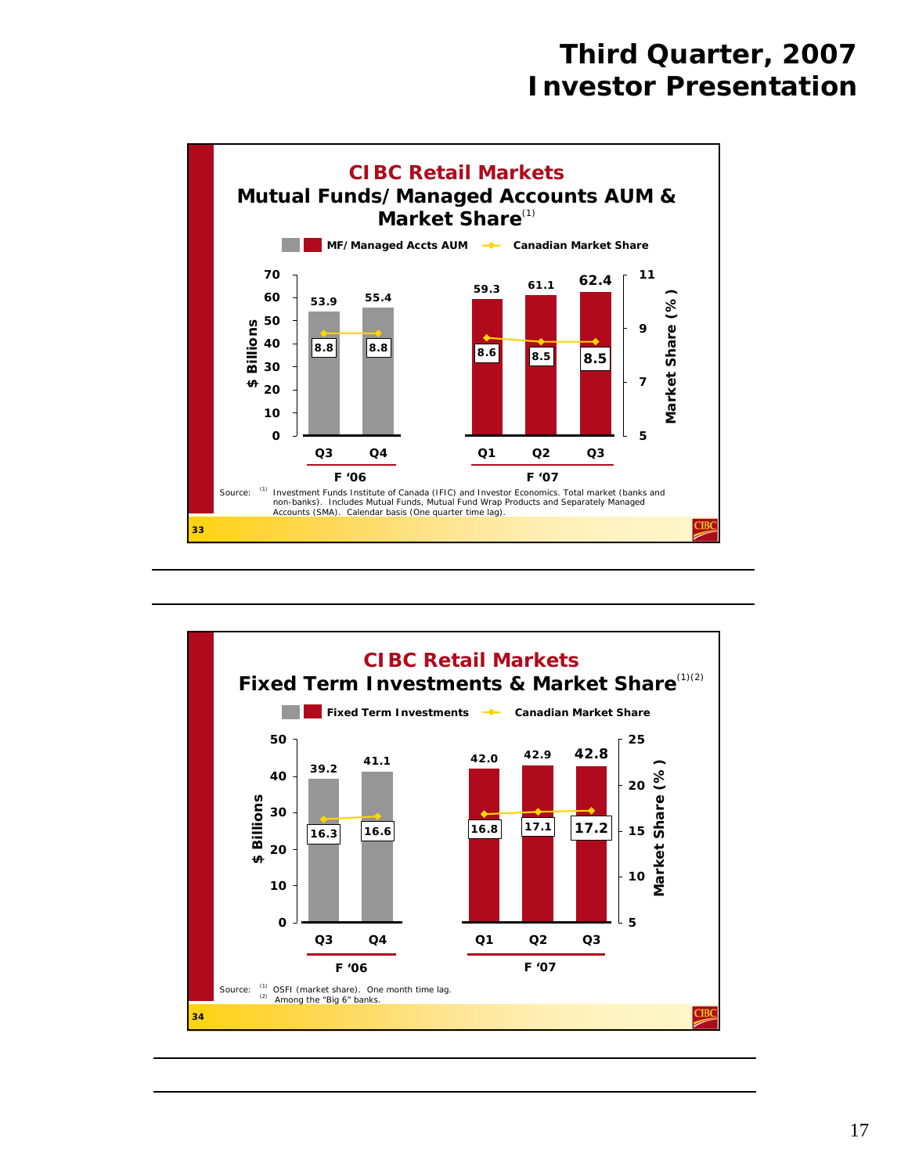

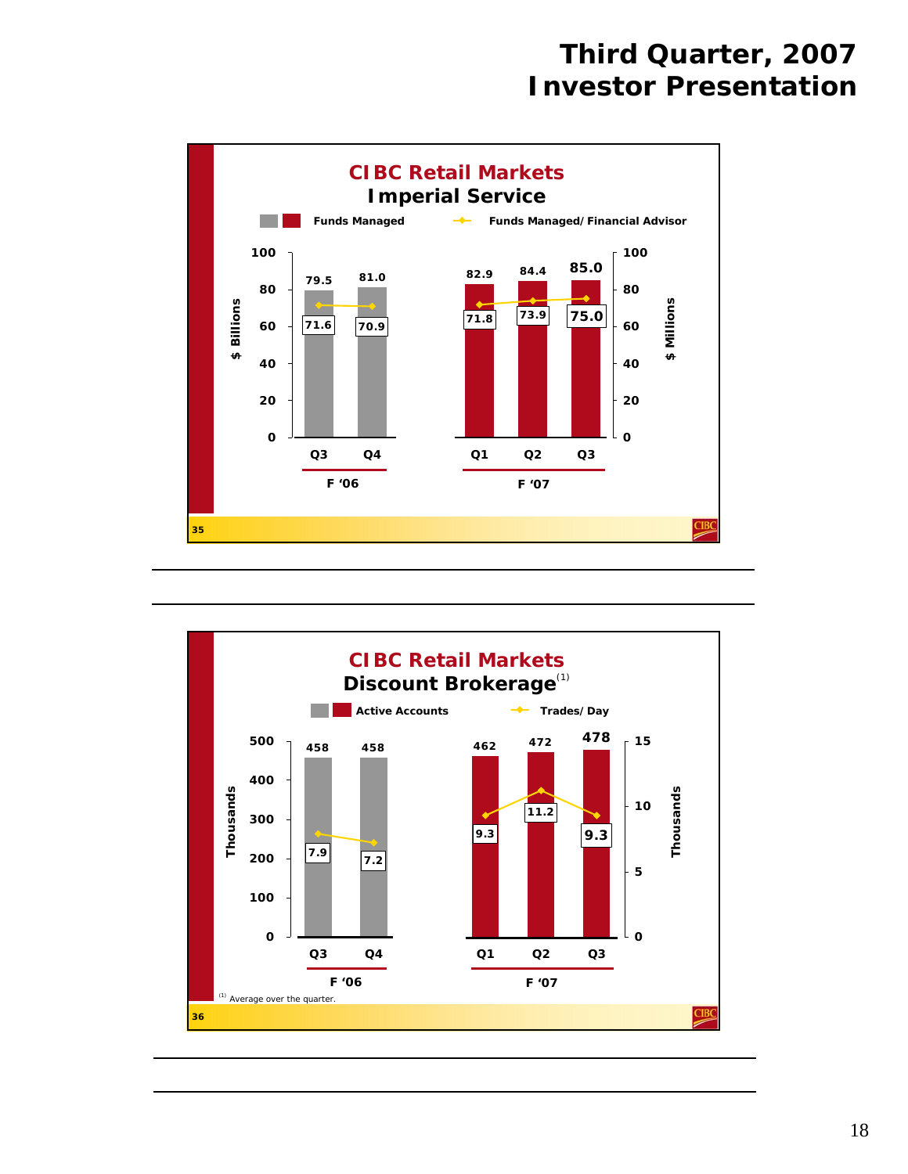

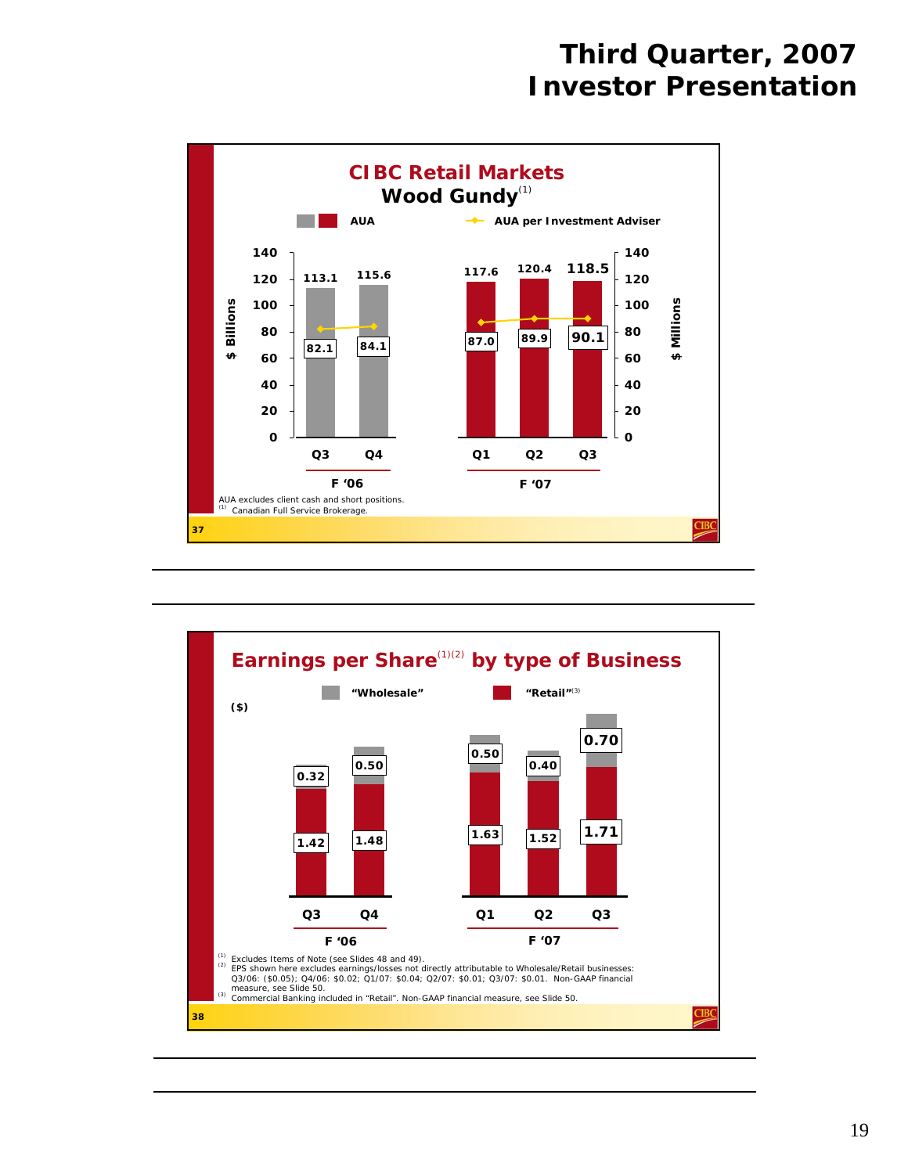

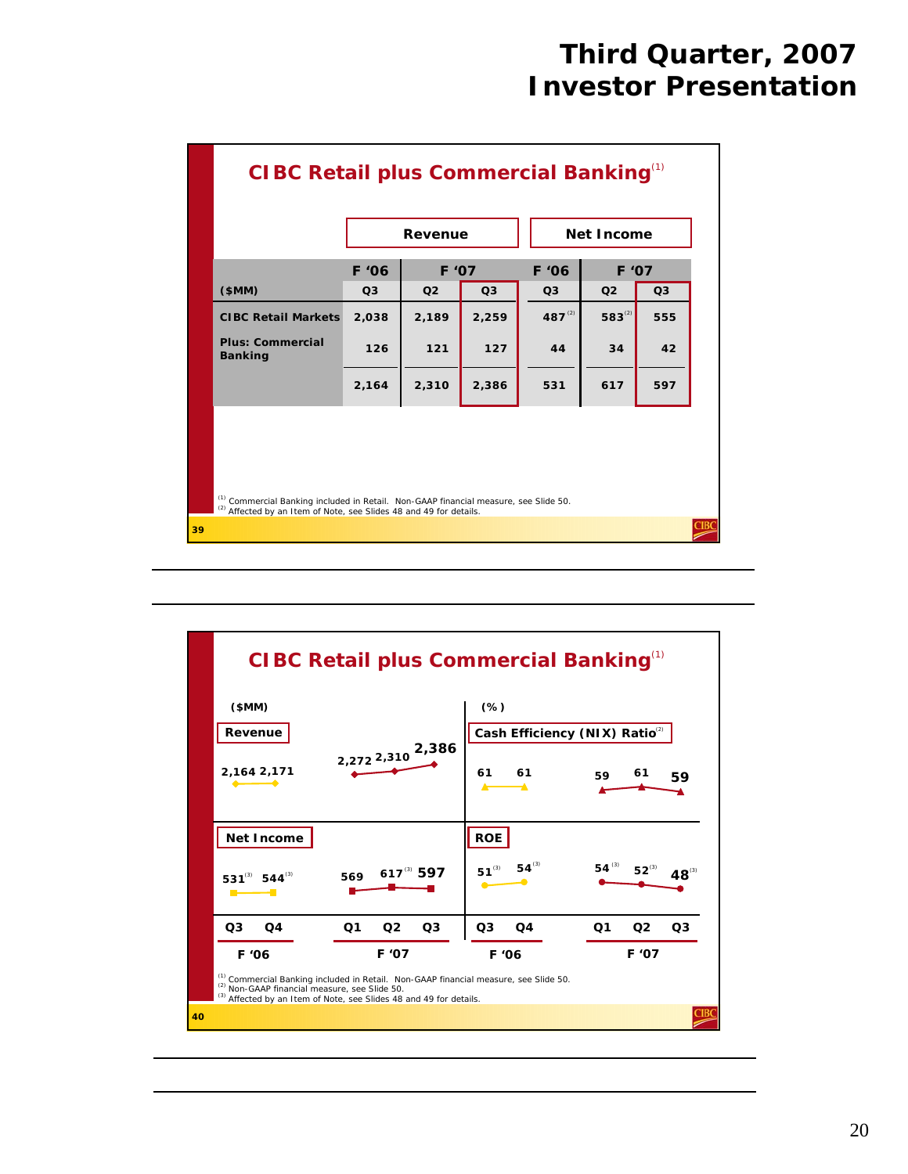|                                                                                                                                                                       |                | Revenue        |                |                | <b>Net Income</b> |                |  |
|-----------------------------------------------------------------------------------------------------------------------------------------------------------------------|----------------|----------------|----------------|----------------|-------------------|----------------|--|
|                                                                                                                                                                       | F '06          | F '07          |                | F '06          | F '07             |                |  |
| \$MM)                                                                                                                                                                 | O <sub>3</sub> | Q <sub>2</sub> | Q <sub>3</sub> | Q <sub>3</sub> | Q <sub>2</sub>    | Q <sub>3</sub> |  |
| <b>CIBC Retail Markets</b>                                                                                                                                            | 2,038          | 2,189          | 2,259          | $487^{(2)}$    | $583^{(2)}$       | 555            |  |
| <b>Plus: Commercial</b><br><b>Banking</b>                                                                                                                             | 126            | $121$          | 127            | 44             | 34                | 42             |  |
|                                                                                                                                                                       | 2,164          | 2,310          | 2,386          | 531            | 617               | 597            |  |
| (1) Commercial Banking included in Retail. Non-GAAP financial measure, see Slide 50.<br><sup>(2)</sup> Affected by an Item of Note, see Slides 48 and 49 for details. |                |                |                |                |                   |                |  |

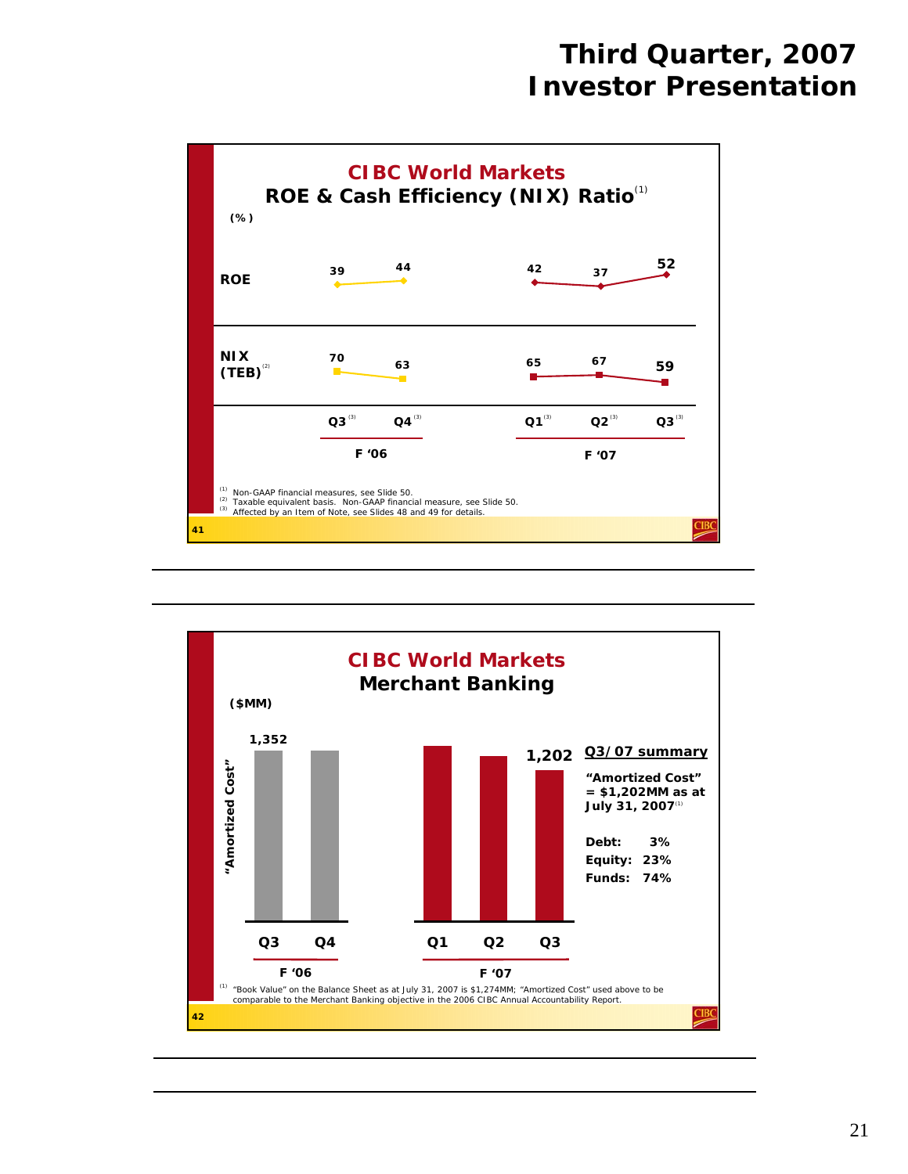

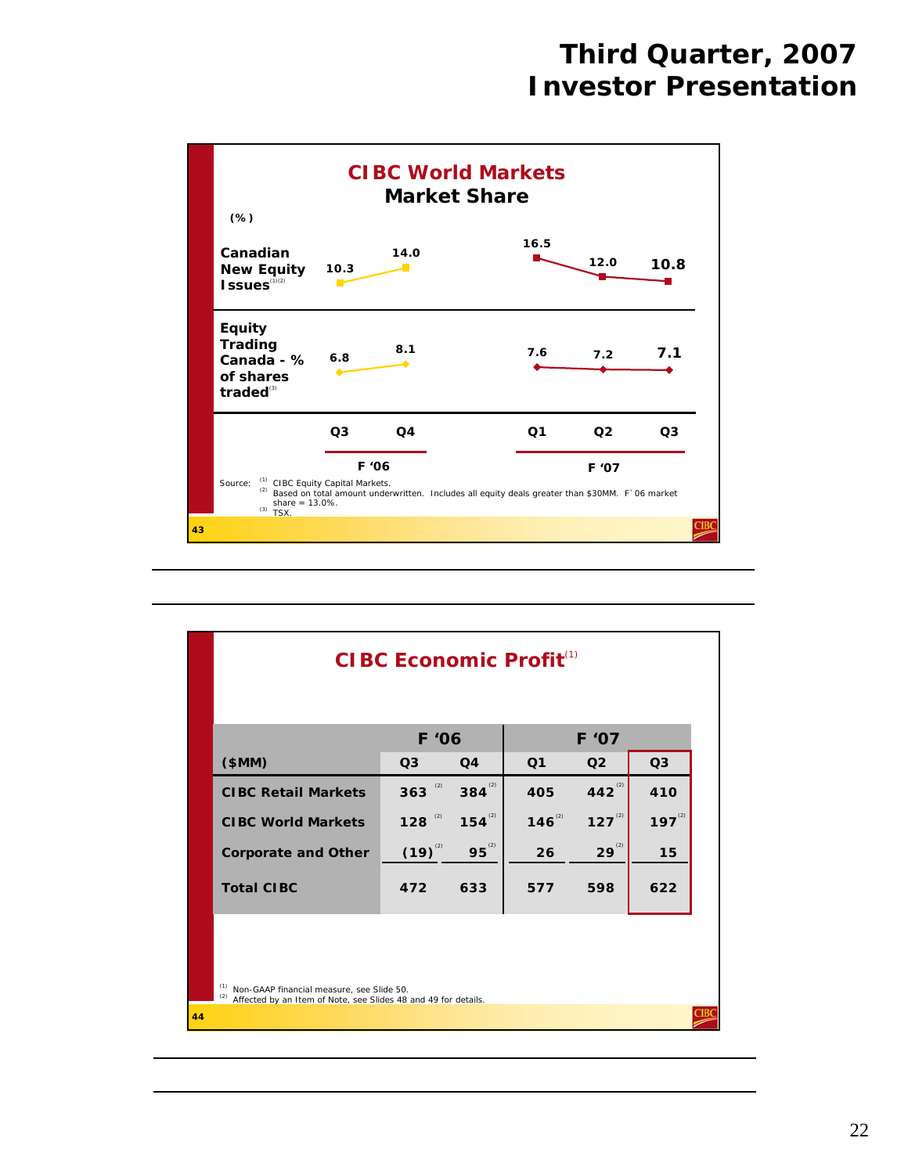

| \$MM)                      | F '06<br>Q3          | Q <sub>4</sub> | Q <sub>1</sub> | F '07<br>Q <sub>2</sub> | Q <sub>3</sub> |
|----------------------------|----------------------|----------------|----------------|-------------------------|----------------|
| <b>CIBC Retail Markets</b> | $363$ <sup>(2)</sup> | $384^{(2)}$    | 405            | 442 $^{(2)}$            | 410            |
| <b>CIBC World Markets</b>  | $128$ <sup>(2)</sup> | $154^{\circ}$  | $146^{^{(2)}}$ | $127^{2}$               | $197^{2}$      |
| <b>Corporate and Other</b> | $(19)^{^{(2)}}$      | $95^{2}$       | 26             | $29^{(2)}$              | 15             |
| <b>Total CIBC</b>          | 472                  | 633            | 577            | 598                     | 622            |
|                            |                      |                |                |                         |                |
|                            |                      |                |                |                         |                |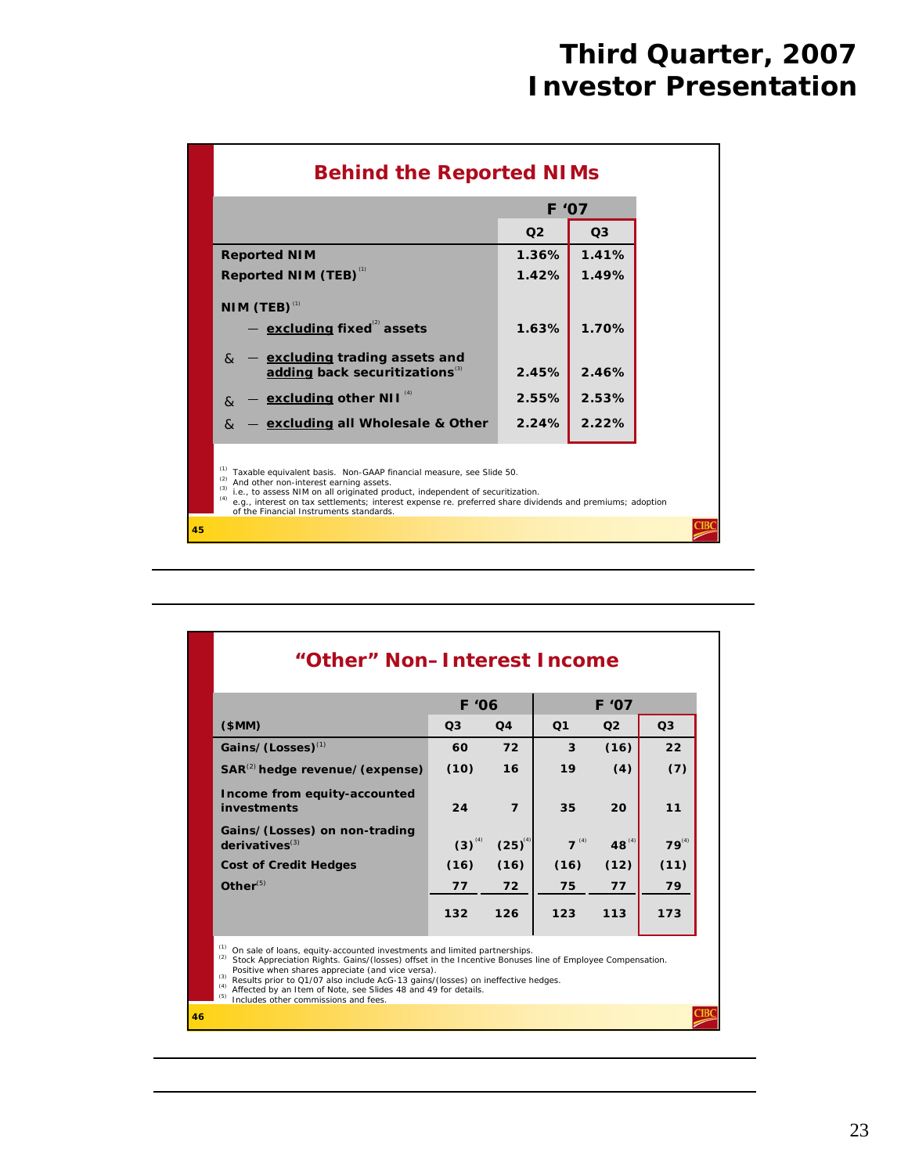|    | <b>Behind the Reported NIMs</b>                                                                                                                                                                                                                                                                                                                                                   |                |                |  |  |  |  |
|----|-----------------------------------------------------------------------------------------------------------------------------------------------------------------------------------------------------------------------------------------------------------------------------------------------------------------------------------------------------------------------------------|----------------|----------------|--|--|--|--|
|    |                                                                                                                                                                                                                                                                                                                                                                                   | F '07          |                |  |  |  |  |
|    |                                                                                                                                                                                                                                                                                                                                                                                   | Q <sub>2</sub> | Q <sub>3</sub> |  |  |  |  |
|    | <b>Reported NIM</b>                                                                                                                                                                                                                                                                                                                                                               | 1.36%          | 1.41%          |  |  |  |  |
|    | Reported NIM (TEB) <sup>(1)</sup>                                                                                                                                                                                                                                                                                                                                                 | 1.42%          | 1.49%          |  |  |  |  |
|    | NIM (TEB) $^{(1)}$                                                                                                                                                                                                                                                                                                                                                                |                |                |  |  |  |  |
|    | $-$ excluding fixed assets                                                                                                                                                                                                                                                                                                                                                        | 1.63%          | 1.70%          |  |  |  |  |
|    | excluding trading assets and<br>$\mathcal{R}$<br>adding back securitizations <sup>(3)</sup>                                                                                                                                                                                                                                                                                       | 2.45%          | 2.46%          |  |  |  |  |
|    | - excluding other NII <sup>(4)</sup><br>$\mathcal{R}$                                                                                                                                                                                                                                                                                                                             | 2.55%          | 2.53%          |  |  |  |  |
|    | - excluding all Wholesale & Other<br>$\mathcal{R}_{\mathcal{L}}$                                                                                                                                                                                                                                                                                                                  | 2.24%          | 2.22%          |  |  |  |  |
|    | (1)<br>Taxable equivalent basis. Non-GAAP financial measure, see Slide 50.<br>(2)<br>And other non-interest earning assets.<br>(3)<br>i.e., to assess NIM on all originated product, independent of securitization.<br>(4)<br>e.g., interest on tax settlements; interest expense re. preferred share dividends and premiums; adoption<br>of the Financial Instruments standards. |                |                |  |  |  |  |
| 45 |                                                                                                                                                                                                                                                                                                                                                                                   |                |                |  |  |  |  |

|                                                                                                                                                                                                                                                                                                                                                                                                                                                              | F'06           |                         |                |                |                |
|--------------------------------------------------------------------------------------------------------------------------------------------------------------------------------------------------------------------------------------------------------------------------------------------------------------------------------------------------------------------------------------------------------------------------------------------------------------|----------------|-------------------------|----------------|----------------|----------------|
| \$MM)                                                                                                                                                                                                                                                                                                                                                                                                                                                        | Q <sub>3</sub> | Q <sub>4</sub>          | Q <sub>1</sub> | Q <sub>2</sub> | Q <sub>3</sub> |
| Gains/(Losses) <sup>(1)</sup>                                                                                                                                                                                                                                                                                                                                                                                                                                | 60             | 72                      | 3              | (16)           | 22             |
| $SAR^{(2)}$ hedge revenue/(expense)                                                                                                                                                                                                                                                                                                                                                                                                                          | (10)           | 16                      | 19             | (4)            | (7)            |
| Income from equity-accounted<br>investments                                                                                                                                                                                                                                                                                                                                                                                                                  | 24             | $\overline{\mathbf{z}}$ | 35             | 20             | 11             |
| Gains/(Losses) on non-trading<br>derivatives <sup>(3)</sup>                                                                                                                                                                                                                                                                                                                                                                                                  | $(3)^{^{(4)}}$ | $(25)^{^{(4)}}$         | $7^{(4)}$      | $48^{(4)}$     | $79^{(4)}$     |
| <b>Cost of Credit Hedges</b>                                                                                                                                                                                                                                                                                                                                                                                                                                 | (16)           | (16)                    | (16)           | (12)           | (11)           |
| $Other^{(5)}$                                                                                                                                                                                                                                                                                                                                                                                                                                                | 77             | 72                      | 75             | 77             | 79             |
|                                                                                                                                                                                                                                                                                                                                                                                                                                                              | 132            | 126                     | 123            | 113            | 173            |
| (1)<br>On sale of loans, equity-accounted investments and limited partnerships.<br>(2)<br>Stock Appreciation Rights. Gains/(losses) offset in the Incentive Bonuses line of Employee Compensation.<br>Positive when shares appreciate (and vice versa).<br>(3)<br>Results prior to Q1/07 also include AcG-13 gains/(losses) on ineffective hedges.<br>Affected by an Item of Note, see Slides 48 and 49 for details.<br>Includes other commissions and fees. |                |                         |                |                |                |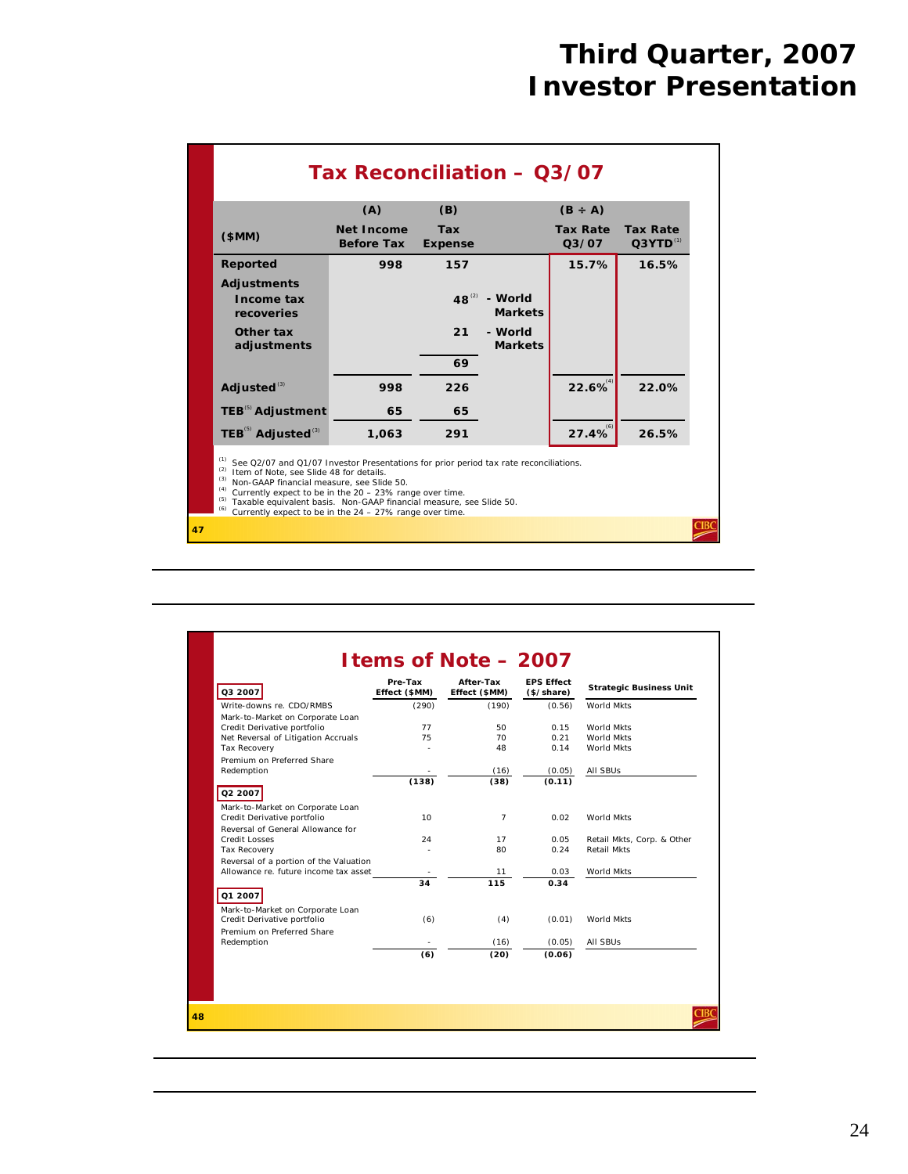|                                            | (A)                                                                                                                                                                                                                                                                                                                                                                                                           | (B)                          |                           | $(B \div A)$                          |                                  |  |  |
|--------------------------------------------|---------------------------------------------------------------------------------------------------------------------------------------------------------------------------------------------------------------------------------------------------------------------------------------------------------------------------------------------------------------------------------------------------------------|------------------------------|---------------------------|---------------------------------------|----------------------------------|--|--|
| (SMM)                                      | <b>Net Income</b><br><b>Before Tax</b>                                                                                                                                                                                                                                                                                                                                                                        | <b>Tax</b><br><b>Expense</b> |                           | <b>Tax Rate</b><br>Q <sub>3</sub> /07 | <b>Tax Rate</b><br>$Q3YTD^{(1)}$ |  |  |
| <b>Reported</b>                            | 998                                                                                                                                                                                                                                                                                                                                                                                                           | 157                          |                           | 15.7%                                 | 16.5%                            |  |  |
| <b>Adjustments</b>                         |                                                                                                                                                                                                                                                                                                                                                                                                               |                              |                           |                                       |                                  |  |  |
| Income tax<br>recoveries                   |                                                                                                                                                                                                                                                                                                                                                                                                               | $48^{(2)}$                   | - World<br><b>Markets</b> |                                       |                                  |  |  |
| Other tax<br>adjustments                   |                                                                                                                                                                                                                                                                                                                                                                                                               | 21                           | - World<br><b>Markets</b> |                                       |                                  |  |  |
|                                            |                                                                                                                                                                                                                                                                                                                                                                                                               | 69                           |                           |                                       |                                  |  |  |
| Adjusted <sup>(3)</sup>                    | 998                                                                                                                                                                                                                                                                                                                                                                                                           | 226                          |                           | $22.6\%$                              | 22.0%                            |  |  |
| <b>TEB<sup>(5)</sup></b> Adjustment        | 65                                                                                                                                                                                                                                                                                                                                                                                                            | 65                           |                           |                                       |                                  |  |  |
|                                            | 1,063                                                                                                                                                                                                                                                                                                                                                                                                         | 291                          |                           | $27.4\%$                              | 26.5%                            |  |  |
| TEB <sup>(5)</sup> Adjusted <sup>(3)</sup> | (1)<br>See Q2/07 and Q1/07 Investor Presentations for prior period tax rate reconciliations.<br>(2)<br>Item of Note, see Slide 48 for details.<br>(3)<br>Non-GAAP financial measure, see Slide 50.<br>(4)<br>Currently expect to be in the 20 - 23% range over time.<br>(5)<br>Taxable equivalent basis. Non-GAAP financial measure, see Slide 50.<br>Currently expect to be in the 24 - 27% range over time. |                              |                           |                                       |                                  |  |  |

| Q3 2007                                                      | Pre-Tax<br>Effect (\$MM) | After-Tax<br>Effect (\$MM) | <b>EPS Effect</b><br>(\$/share) | <b>Strategic Business Unit</b>                   |
|--------------------------------------------------------------|--------------------------|----------------------------|---------------------------------|--------------------------------------------------|
| Write-downs re. CDO/RMBS<br>Mark-to-Market on Corporate Loan | (290)                    | (190)                      | (0.56)                          | World Mkts                                       |
| Credit Derivative portfolio                                  | 77                       | 50                         | 0.15                            | World Mkts                                       |
| Net Reversal of Litigation Accruals                          | 75                       | 70                         | 0.21                            | World Mkts                                       |
| <b>Tax Recovery</b>                                          |                          | 48                         | 0.14                            | World Mkts                                       |
| Premium on Preferred Share                                   |                          |                            |                                 |                                                  |
| Redemption                                                   |                          | (16)                       | (0.05)                          | All SBUs                                         |
|                                                              | (138)                    | (38)                       | (0.11)                          |                                                  |
| Q2 2007                                                      |                          |                            |                                 |                                                  |
| Mark-to-Market on Corporate Loan                             |                          |                            |                                 |                                                  |
| Credit Derivative portfolio                                  | 10 <sup>1</sup>          | $\overline{7}$             | 0.02                            | World Mkts                                       |
| Reversal of General Allowance for                            |                          |                            |                                 |                                                  |
| <b>Credit Losses</b><br>Tax Recovery                         | 24                       | 17<br>80                   | 0.05<br>0.24                    | Retail Mkts, Corp. & Other<br><b>Retail Mkts</b> |
| Reversal of a portion of the Valuation                       |                          |                            |                                 |                                                  |
| Allowance re. future income tax asset                        |                          | 11                         | 0.03                            | World Mkts                                       |
|                                                              | 34                       | 115                        | 0.34                            |                                                  |
| Q1 2007                                                      |                          |                            |                                 |                                                  |
| Mark-to-Market on Corporate Loan                             |                          |                            |                                 |                                                  |
| Credit Derivative portfolio                                  | (6)                      | (4)                        | (0.01)                          | World Mkts                                       |
| Premium on Preferred Share                                   |                          |                            |                                 |                                                  |
| Redemption                                                   |                          | (16)                       | (0.05)                          | All SBUs                                         |
|                                                              | (6)                      | (20)                       | (0.06)                          |                                                  |
|                                                              |                          |                            |                                 |                                                  |
|                                                              |                          |                            |                                 |                                                  |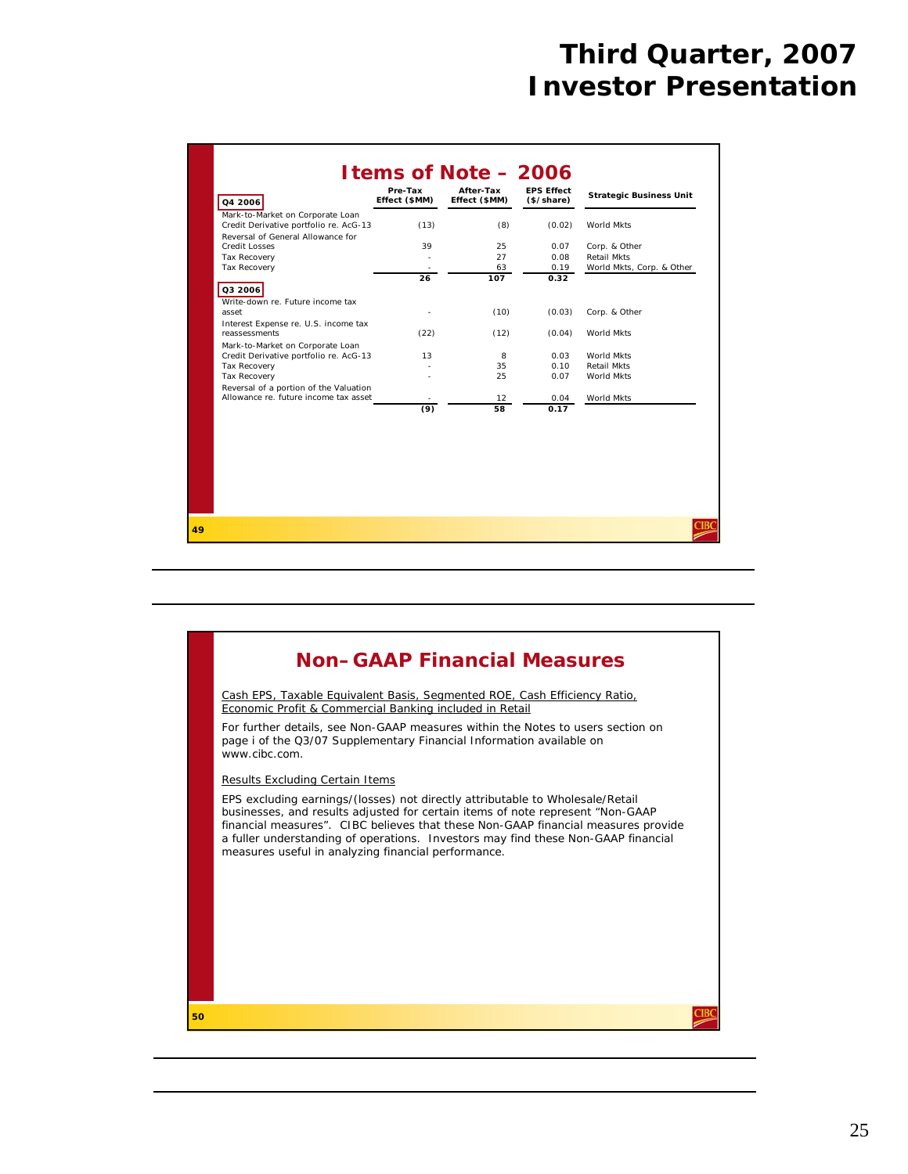| Q4 2006                                                   | Pre-Tax<br>Effect (\$MM) | After-Tax<br>Effect (\$MM) | <b>EPS Effect</b><br>(\$/share) | <b>Strategic Business Unit</b> |
|-----------------------------------------------------------|--------------------------|----------------------------|---------------------------------|--------------------------------|
| Mark-to-Market on Corporate Loan                          |                          |                            |                                 |                                |
| Credit Derivative portfolio re. AcG-13                    | (13)                     | (8)                        | (0.02)                          | World Mkts                     |
| Reversal of General Allowance for<br><b>Credit Losses</b> | 39                       | 25                         | 0.07                            |                                |
|                                                           |                          | 27                         | 0.08                            | Corp. & Other<br>Retail Mkts   |
| Tax Recovery<br>Tax Recovery                              |                          | 63                         | 0.19                            | World Mkts, Corp. & Other      |
|                                                           | 26                       | 107                        | 0.32                            |                                |
| Q3 2006                                                   |                          |                            |                                 |                                |
|                                                           |                          |                            |                                 |                                |
| Write-down re. Future income tax<br>asset                 |                          | (10)                       | (0.03)                          | Corp. & Other                  |
|                                                           |                          |                            |                                 |                                |
| Interest Expense re. U.S. income tax<br>reassessments     | (22)                     | (12)                       | (0.04)                          | World Mkts                     |
| Mark-to-Market on Corporate Loan                          |                          |                            |                                 |                                |
| Credit Derivative portfolio re. AcG-13                    | 13                       | 8                          | 0.03                            | World Mkts                     |
| Tax Recovery                                              |                          | 35                         | 0.10                            | Retail Mkts                    |
| Tax Recovery                                              |                          | 25                         | 0.07                            | World Mkts                     |
| Reversal of a portion of the Valuation                    |                          |                            |                                 |                                |
| Allowance re. future income tax asset                     |                          | 12                         | 0.04                            | World Mkts                     |
|                                                           | (9)                      | 58                         | 0.17                            |                                |
|                                                           |                          |                            |                                 |                                |
|                                                           |                          |                            |                                 |                                |
|                                                           |                          |                            |                                 |                                |
|                                                           |                          |                            |                                 |                                |
|                                                           |                          |                            |                                 |                                |
|                                                           |                          |                            |                                 |                                |
|                                                           |                          |                            |                                 |                                |
|                                                           |                          |                            |                                 |                                |
|                                                           |                          |                            |                                 |                                |

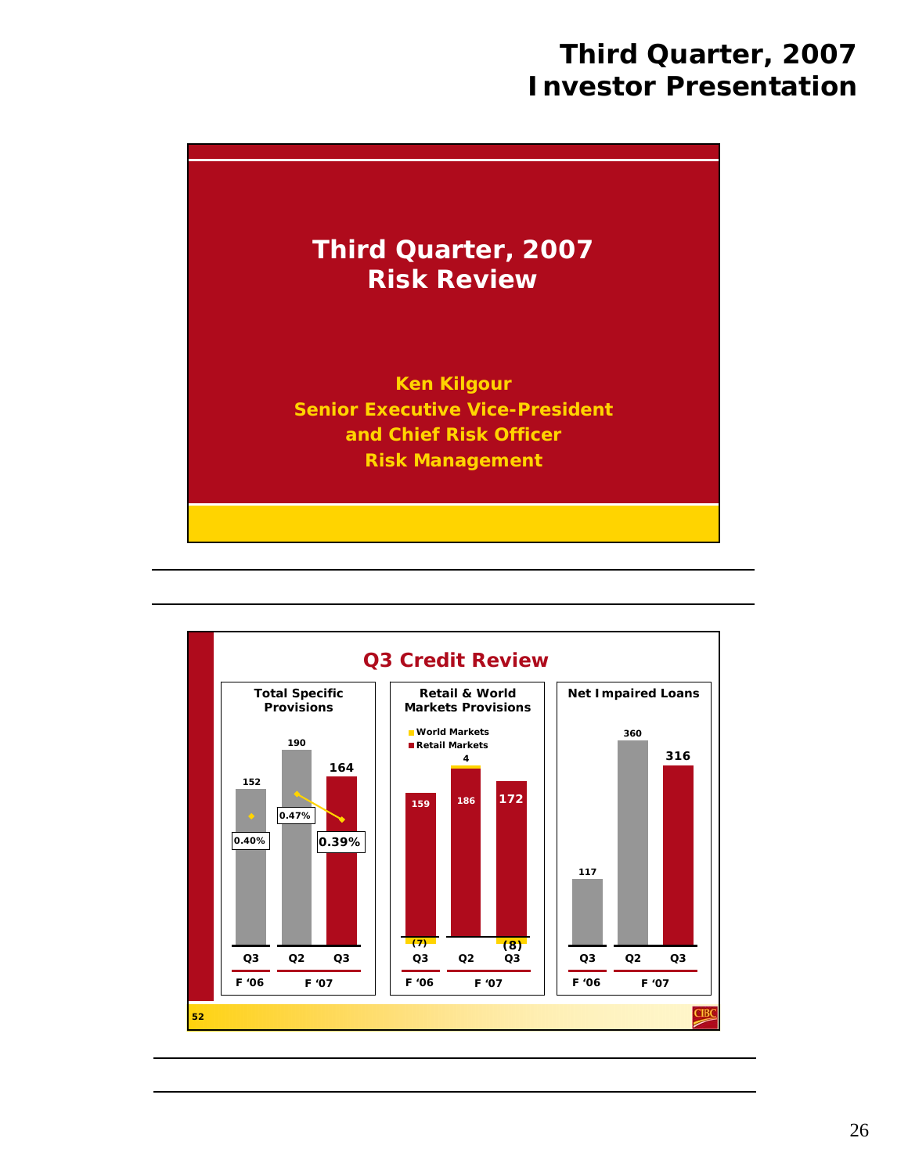

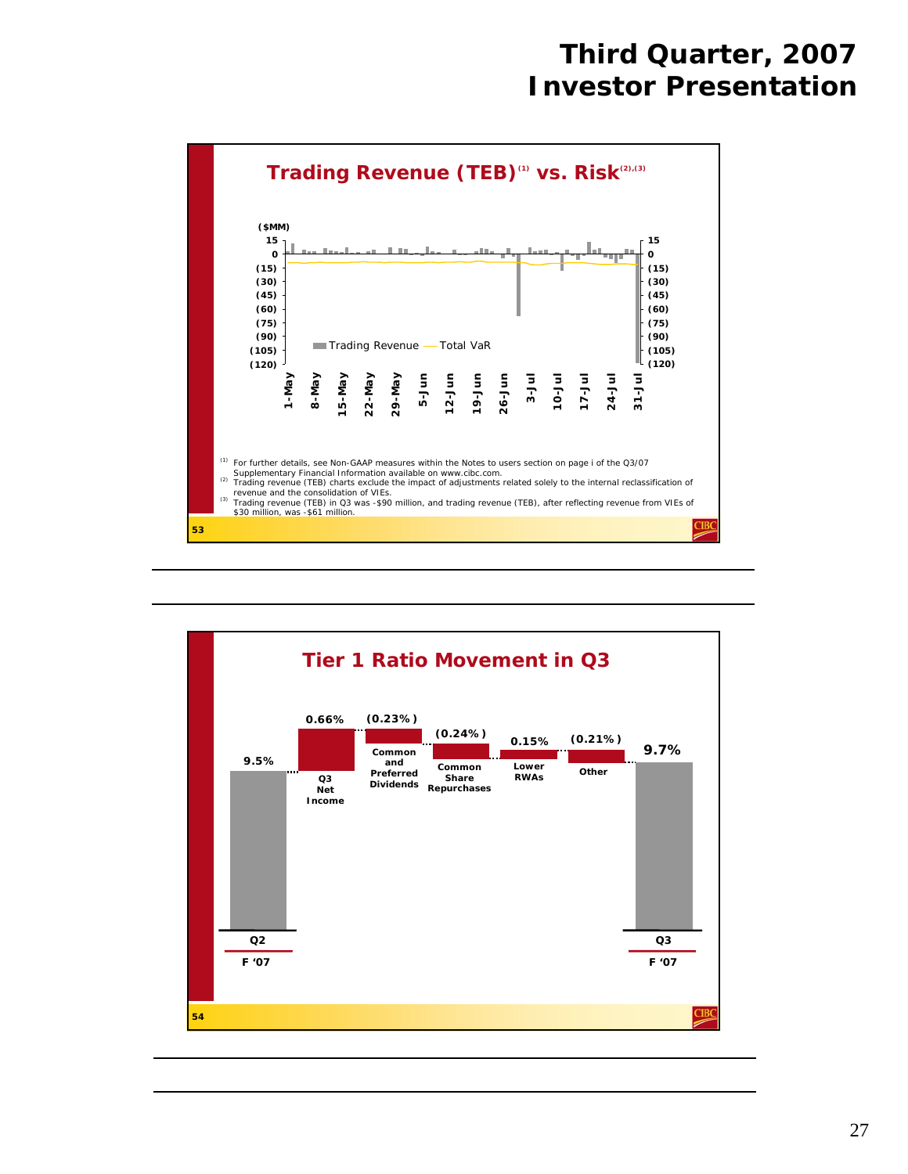

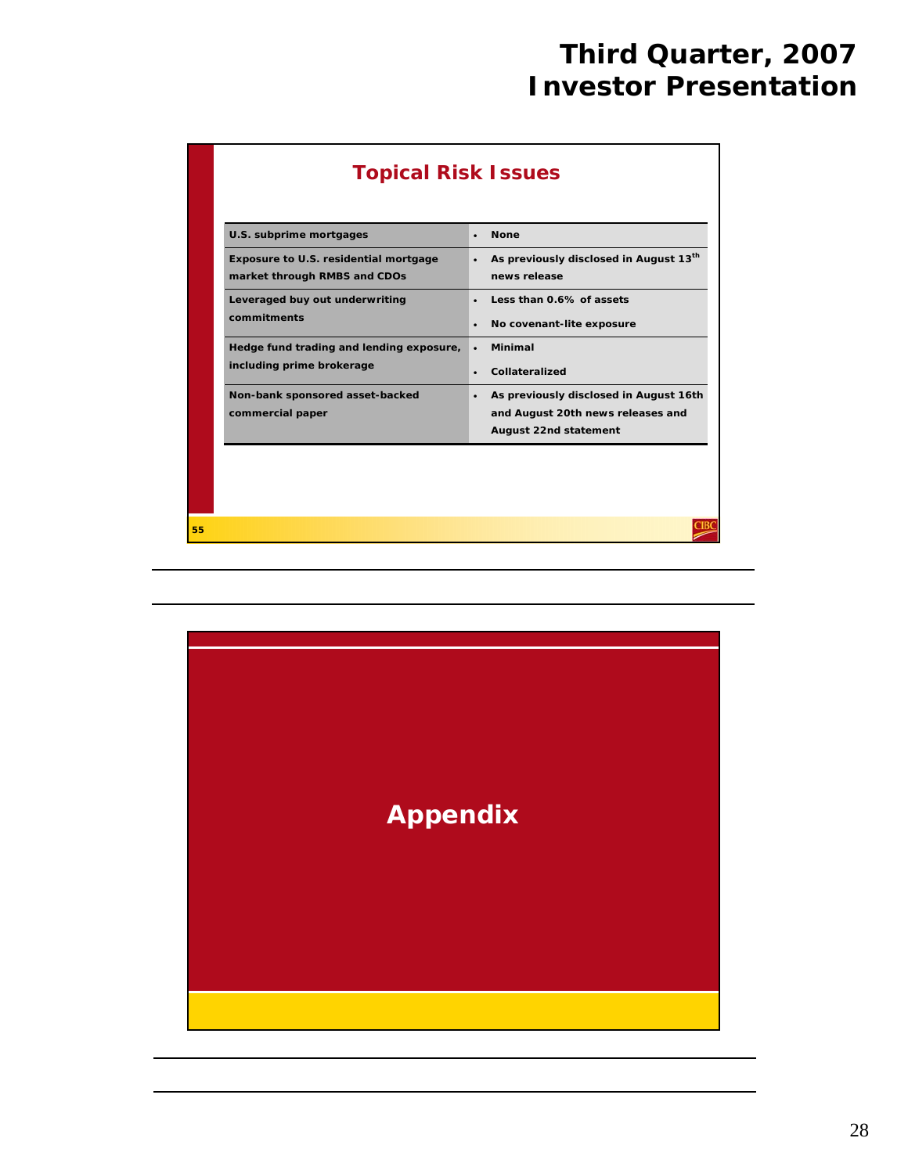| <b>Topical Risk Issues</b>                                            |                                                                                                                   |
|-----------------------------------------------------------------------|-------------------------------------------------------------------------------------------------------------------|
| U.S. subprime mortgages                                               | <b>None</b><br>$\bullet$                                                                                          |
| Exposure to U.S. residential mortgage<br>market through RMBS and CDOs | As previously disclosed in August 13th<br>$\bullet$<br>news release                                               |
| Leveraged buy out underwriting<br>commitments                         | Less than 0.6% of assets<br>No covenant-lite exposure<br>$\bullet$                                                |
| Hedge fund trading and lending exposure,<br>including prime brokerage | <b>Minimal</b><br>$\bullet$<br>Collateralized<br>$\bullet$                                                        |
| Non-bank sponsored asset-backed<br>commercial paper                   | As previously disclosed in August 16th<br>$\bullet$<br>and August 20th news releases and<br>August 22nd statement |

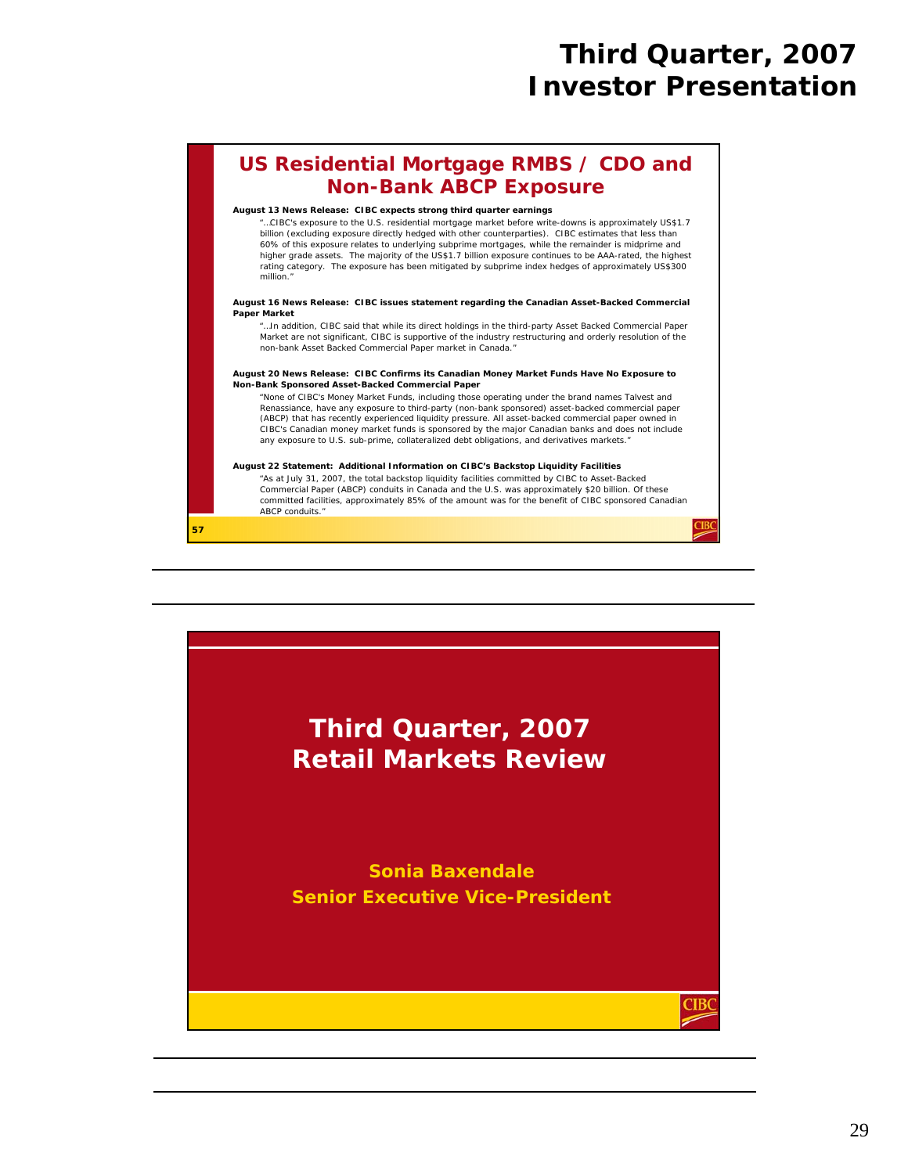